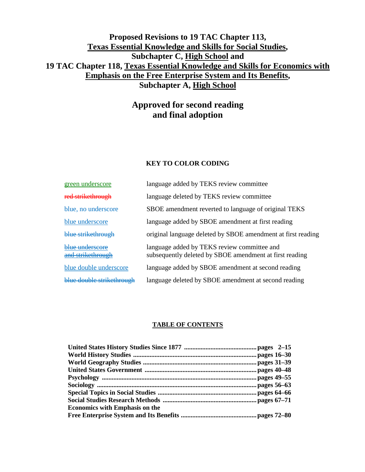## **Proposed Revisions to 19 TAC Chapter 113, Texas Essential Knowledge and Skills for Social Studies, Subchapter C, High School and 19 TAC Chapter 118, Texas Essential Knowledge and Skills for Economics with Emphasis on the Free Enterprise System and Its Benefits, Subchapter A, High School**

# **Approved for second reading and final adoption**

## **KEY TO COLOR CODING**

| green underscore                     | language added by TEKS review committee                                                                |
|--------------------------------------|--------------------------------------------------------------------------------------------------------|
| red strikethrough                    | language deleted by TEKS review committee                                                              |
| blue, no underscore                  | SBOE amendment reverted to language of original TEKS                                                   |
| blue underscore                      | language added by SBOE amendment at first reading                                                      |
| blue strikethrough                   | original language deleted by SBOE amendment at first reading                                           |
| blue underscore<br>and strikethrough | language added by TEKS review committee and<br>subsequently deleted by SBOE amendment at first reading |
| blue double underscore               | language added by SBOE amendment at second reading                                                     |
| blue double strikethrough            | language deleted by SBOE amendment at second reading                                                   |

#### **TABLE OF CONTENTS**

| <b>Economics with Emphasis on the</b> |  |
|---------------------------------------|--|
|                                       |  |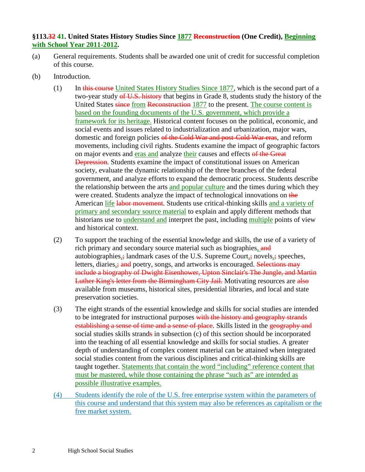## **§113.32 41. United States History Studies Since 1877 Reconstruction (One Credit), Beginning with School Year 2011-2012.**

- (a) General requirements. Students shall be awarded one unit of credit for successful completion of this course.
- (b) Introduction.
	- (1) In this course United States History Studies Since 1877, which is the second part of a two-year study of U.S. history that begins in Grade 8, students study the history of the United States since from Reconstruction 1877 to the present. The course content is based on the founding documents of the U.S. government, which provide a framework for its heritage. Historical content focuses on the political, economic, and social events and issues related to industrialization and urbanization, major wars, domestic and foreign policies of the Cold War and post-Cold War eras, and reform movements, including civil rights. Students examine the impact of geographic factors on major events and eras and analyze their causes and effects of the Great Depression. Students examine the impact of constitutional issues on American society, evaluate the dynamic relationship of the three branches of the federal government, and analyze efforts to expand the democratic process. Students describe the relationship between the arts and popular culture and the times during which they were created. Students analyze the impact of technological innovations on the American life labor movement. Students use critical-thinking skills and a variety of primary and secondary source material to explain and apply different methods that historians use to understand and interpret the past, including multiple points of view and historical context.
	- (2) To support the teaching of the essential knowledge and skills, the use of a variety of rich primary and secondary source material such as biographies, and autobiographies, $\div$  landmark cases of the U.S. Supreme Court, $\div$  novels, $\div$  speeches, letters, diaries, and poetry, songs, and artworks is encouraged. Selections may include a biography of Dwight Eisenhower, Upton Sinclair's The Jungle, and Martin Luther King's letter from the Birmingham City Jail. Motivating resources are also available from museums, historical sites, presidential libraries, and local and state preservation societies.
	- (3) The eight strands of the essential knowledge and skills for social studies are intended to be integrated for instructional purposes with the history and geography strands establishing a sense of time and a sense of place. Skills listed in the geography and social studies skills strands in subsection (c) of this section should be incorporated into the teaching of all essential knowledge and skills for social studies. A greater depth of understanding of complex content material can be attained when integrated social studies content from the various disciplines and critical-thinking skills are taught together. Statements that contain the word "including" reference content that must be mastered, while those containing the phrase "such as" are intended as possible illustrative examples.
	- (4) Students identify the role of the U.S. free enterprise system within the parameters of this course and understand that this system may also be references as capitalism or the free market system.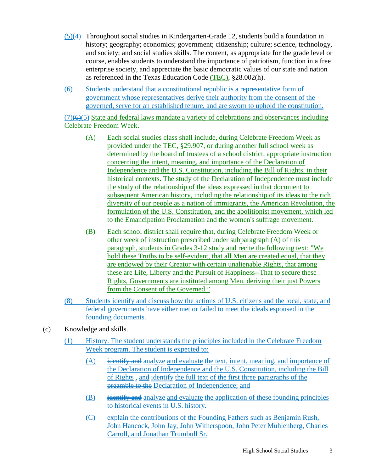- (5)(4) Throughout social studies in Kindergarten-Grade 12, students build a foundation in history; geography; economics; government; citizenship; culture; science, technology, and society; and social studies skills. The content, as appropriate for the grade level or course, enables students to understand the importance of patriotism, function in a free enterprise society, and appreciate the basic democratic values of our state and nation as referenced in the Texas Education Code (TEC), §28.002(h).
- (6) Students understand that a constitutional republic is a representative form of government whose representatives derive their authority from the consent of the governed, serve for an established tenure, and are sworn to uphold the constitution.

 $(7)(6)(5)$  State and federal laws mandate a variety of celebrations and observances including Celebrate Freedom Week.

- (A) Each social studies class shall include, during Celebrate Freedom Week as provided under the TEC, §29.907, or during another full school week as determined by the board of trustees of a school district, appropriate instruction concerning the intent, meaning, and importance of the Declaration of Independence and the U.S. Constitution, including the Bill of Rights, in their historical contexts. The study of the Declaration of Independence must include the study of the relationship of the ideas expressed in that document to subsequent American history, including the relationship of its ideas to the rich diversity of our people as a nation of immigrants, the American Revolution, the formulation of the U.S. Constitution, and the abolitionist movement, which led to the Emancipation Proclamation and the women's suffrage movement.
- (B) Each school district shall require that, during Celebrate Freedom Week or other week of instruction prescribed under subparagraph (A) of this paragraph, students in Grades 3-12 study and recite the following text: "We hold these Truths to be self-evident, that all Men are created equal, that they are endowed by their Creator with certain unalienable Rights, that among these are Life, Liberty and the Pursuit of Happiness--That to secure these Rights, Governments are instituted among Men, deriving their just Powers from the Consent of the Governed."
- (8) Students identify and discuss how the actions of U.S. citizens and the local, state, and federal governments have either met or failed to meet the ideals espoused in the founding documents.
- (c) Knowledge and skills.
	- (1) History. The student understands the principles included in the Celebrate Freedom Week program. The student is expected to:
		- $(A)$  identify and analyze and evaluate the text, intent, meaning, and importance of the Declaration of Independence and the U.S. Constitution, including the Bill of Rights , and identify the full text of the first three paragraphs of the **preamble to the Declaration of Independence; and**
		- $(B)$  identify and analyze and evaluate the application of these founding principles to historical events in U.S. history.
		- (C) explain the contributions of the Founding Fathers such as Benjamin Rush, John Hancock, John Jay, John Witherspoon, John Peter Muhlenberg, Charles Carroll, and Jonathan Trumbull Sr.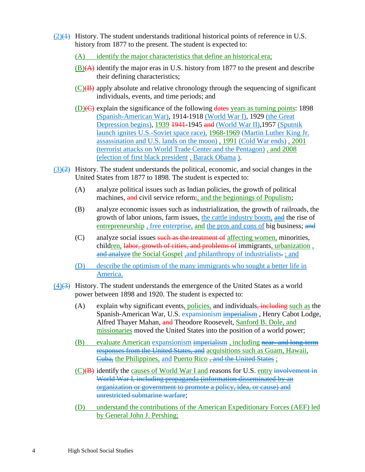- $(2)(1)$  History. The student understands traditional historical points of reference in U.S. history from 1877 to the present. The student is expected to:
	- (A) identify the major characteristics that define an historical era;
	- $(B)(A)$  identify the major eras in U.S. history from 1877 to the present and describe their defining characteristics;
	- $(C)(B)$  apply absolute and relative chronology through the sequencing of significant individuals, events, and time periods; and
	- $(D)(C)$  explain the significance of the following dates years as turning points: 1898 (Spanish-American War), 1914-1918 (World War I), 1929 (the Great Depression begins), 1939 1941-1945 and (World War II), 1957 (Sputnik launch ignites U.S.-Soviet space race), 1968-1969 (Martin Luther King Jr. assassination and U.S. lands on the moon) , 1991 (Cold War ends) , 2001 (terrorist attacks on World Trade Center and the Pentagon) , and 2008 (election of first black president , Barack Obama ).
- $(3)(2)$  History. The student understands the political, economic, and social changes in the United States from 1877 to 1898. The student is expected to:
	- (A) analyze political issues such as Indian policies, the growth of political machines, and civil service reform;, and the beginnings of Populism;
	- (B) analyze economic issues such as industrialization, the growth of railroads, the growth of labor unions, farm issues, the cattle industry boom, and the rise of entrepreneurship, free enterprise, and the pros and cons of big business; and
	- (C) analyze social issues such as the treatment of affecting women, minorities, children, labor, growth of cities, and problems of immigrants, urbanization, and analyze the Social Gospel, and philanthropy of industrialists...; and
	- (D) describe the optimism of the many immigrants who sought a better life in America.
- $(4)$ (3) History. The student understands the emergence of the United States as a world power between 1898 and 1920. The student is expected to:
	- $(A)$  explain why significant events, policies, and individuals, including such as the Spanish-American War, U.S. expansionism imperialism , Henry Cabot Lodge, Alfred Thayer Mahan, and Theodore Roosevelt, Sanford B. Dole, and missionaries moved the United States into the position of a world power;
	- (B) evaluate American expansionism imperialism, including near- and long-term responses from the United States, and acquisitions such as Guam, Hawaii, Cuba, the Philippines, and Puerto Rico , and the United States ;
	- (C)(B) identify the causes of World War I and reasons for U.S. entry involvement in World War I, including propaganda (information disseminated by an organization or government to promote a policy, idea, or cause) and unrestricted submarine warfare;
	- (D) understand the contributions of the American Expeditionary Forces (AEF) led by General John J. Pershing;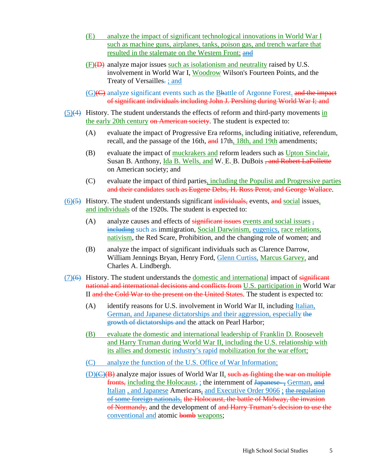- (E) analyze the impact of significant technological innovations in World War I such as machine guns, airplanes, tanks, poison gas, and trench warfare that resulted in the stalemate on the Western Front; and
- $(F)(E)$  analyze major issues such as isolationism and neutrality raised by U.S. involvement in World War I, Woodrow Wilson's Fourteen Points, and the Treaty of Versailles.; and
- $(G)(G)$  analyze significant events such as the Bbattle of Argonne Forest. and the impact of significant individuals including John J. Pershing during World War I; and
- (5)(4) History. The student understands the effects of reform and third-party movements in the early 20th century on American society. The student is expected to:
	- (A) evaluate the impact of Progressive Era reforms, including initiative, referendum, recall, and the passage of the 16th, and 17th, 18th, and 19th amendments;
	- (B) evaluate the impact of muckrakers and reform leaders such as Upton Sinclair, Susan B. Anthony, Ida B. Wells, and W. E. B. DuBois, and Robert LaFollette on American society; and
	- (C) evaluate the impact of third parties, including the Populist and Progressive parties and their candidates such as Eugene Debs, H. Ross Perot, and George Wallace.
- $(6)$ (5) History. The student understands significant individuals, events, and social issues, and individuals of the 1920s. The student is expected to:
	- (A) analyze causes and effects of significant issues events and social issues  $\overline{\cdot}$ including such as immigration, Social Darwinism, eugenics, race relations, nativism, the Red Scare, Prohibition, and the changing role of women; and
	- (B) analyze the impact of significant individuals such as Clarence Darrow, William Jennings Bryan, Henry Ford, Glenn Curtiss, Marcus Garvey, and Charles A. Lindbergh.
- (7)(6) History. The student understands the <u>domestic and international</u> impact of significant national and international decisions and conflicts from U.S. participation in World War II and the Cold War to the present on the United States. The student is expected to:
	- (A) identify reasons for U.S. involvement in World War II, including Italian, German, and Japanese dictatorships and their aggression, especially the growth of dictatorships and the attack on Pearl Harbor;
	- (B) evaluate the domestic and international leadership of Franklin D. Roosevelt and Harry Truman during World War II, including the U.S. relationship with its allies and domestic industry's rapid mobilization for the war effort;
	- (C) analyze the function of the U.S. Office of War Information;
	- $(D)(C)(B)$  analyze major issues of World War II, such as fighting the war on multiple fronts, including the Holocaust, ; the internment of  $\frac{1}{4}$  apanese— $\frac{1}{3}$  German, and Italian , and Japanese Americans, and Executive Order 9066 ; the regulation of some foreign nationals, the Holocaust, the battle of Midway, the invasion of Normandy, and the development of and Harry Truman's decision to use the conventional and atomic **bomb** weapons;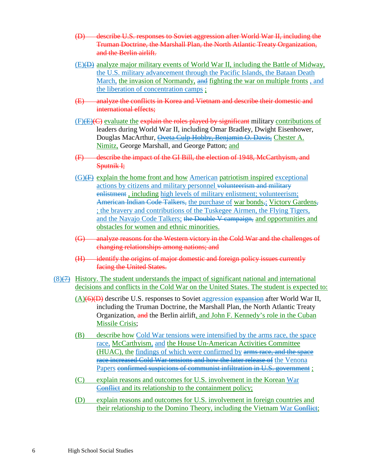- (D) describe U.S. responses to Soviet aggression after World War II, including the Truman Doctrine, the Marshall Plan, the North Atlantic Treaty Organization, and the Berlin airlift.
- $(E)(E)$  analyze major military events of World War II, including the Battle of Midway, the U.S. military advancement through the Pacific Islands, the Bataan Death March, the invasion of Normandy, and fighting the war on multiple fronts , and the liberation of concentration camps ;
- (E) analyze the conflicts in Korea and Vietnam and describe their domestic and international effects;
- $(F)(E)(C)$  evaluate the explain the roles played by significant military contributions of leaders during World War II, including Omar Bradley, Dwight Eisenhower, Douglas MacArthur, Oveta Culp Hobby, Benjamin O. Davis, Chester A. Nimitz, George Marshall, and George Patton; and
- (F) describe the impact of the GI Bill, the election of 1948, McCarthyism, and Sputnik I;
- $(G)(F)$  explain the home front and how American patriotism inspired exceptional actions by citizens and military personnel volunteerism and military enlistment , including high levels of military enlistment; volunteerism; American Indian Code Talkers, the purchase of war bonds,; Victory Gardens, ; the bravery and contributions of the Tuskegee Airmen, the Flying Tigers, and the Navajo Code Talkers; the Double V campaign, and opportunities and obstacles for women and ethnic minorities.
- (G) analyze reasons for the Western victory in the Cold War and the challenges of changing relationships among nations; and
- (H) identify the origins of major domestic and foreign policy issues currently facing the United States.
- $(8)$ ( $\rightarrow$ ) History. The student understands the impact of significant national and international decisions and conflicts in the Cold War on the United States. The student is expected to:
	- $(A)(\theta)(D)$  describe U.S. responses to Soviet aggression expansion after World War II, including the Truman Doctrine, the Marshall Plan, the North Atlantic Treaty Organization, and the Berlin airlift, and John F. Kennedy's role in the Cuban Missile Crisis;
	- (B) describe how Cold War tensions were intensified by the arms race, the space race, McCarthyism, and the House Un-American Activities Committee (HUAC), the findings of which were confirmed by arms race, and the space race increased Cold War tensions and how the later release of the Venona Papers confirmed suspicions of communist infiltration in U.S. government :
	- $(C)$  explain reasons and outcomes for U.S. involvement in the Korean War Conflict and its relationship to the containment policy;
	- (D) explain reasons and outcomes for U.S. involvement in foreign countries and their relationship to the Domino Theory, including the Vietnam War Conflict;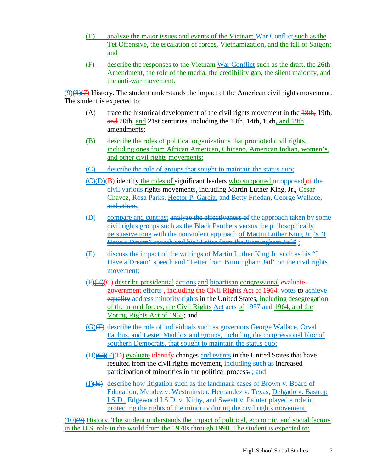- (E) analyze the major issues and events of the Vietnam War Conflict such as the Tet Offensive, the escalation of forces, Vietnamization, and the fall of Saigon; and
- (F) describe the responses to the Vietnam War Conflict such as the draft, the 26th Amendment, the role of the media, the credibility gap, the silent majority, and the anti-war movement.

 $(9)(8)(7)$  History. The student understands the impact of the American civil rights movement. The student is expected to:

- (A) trace the historical development of the civil rights movement in the  $\frac{18}{18}$  19th, and 20th, and 21st centuries, including the 13th, 14th, 15th, and 19th amendments;
- (B) describe the roles of political organizations that promoted civil rights, including ones from African American, Chicano, American Indian, women's, and other civil rights movements;
- (C) describe the role of groups that sought to maintain the status quo;
- (C)(D)(B) identify the roles of significant leaders who supported or opposed of the civil various rights movements, including Martin Luther King, Jr., Cesar Chavez, Rosa Parks, Hector P. Garcia, and Betty Friedan, George Wallace, and others;
- (D) compare and contrast analyze the effectiveness of the approach taken by some civil rights groups such as the Black Panthers versus the philosophically **persuasive tone** with the nonviolent approach of Martin Luther King Jr.  $\frac{2.5 \text{ m}}{2}$ Have a Dream" speech and his "Letter from the Birmingham Jail" ;
- (E) discuss the impact of the writings of Martin Luther King Jr. such as his "I Have a Dream" speech and "Letter from Birmingham Jail" on the civil rights movement;
- $(F)$ (E)(C) describe presidential actions and bipartisan congressional evaluate government efforts , including the Civil Rights Act of 1964, votes to achieve equality address minority rights in the United States, including desegregation of the armed forces, the Civil Rights A et acts of 1957 and 1964, and the Voting Rights Act of 1965; and
- $(G)$ ( $\overline{F}$ ) describe the role of individuals such as governors George Wallace, Orval Faubus, and Lester Maddox and groups, including the congressional bloc of southern Democrats, that sought to maintain the status quo;
- $(H)$ ( $\overline{G}$ )( $\overline{D}$ ) evaluate identify changes and events in the United States that have resulted from the civil rights movement, including such as increased participation of minorities in the political process. ; and
- (I)(H) describe how litigation such as the landmark cases of Brown v. Board of Education, Mendez v. Westminster, Hernandez v. Texas, Delgado v. Bastrop I.S.D., Edgewood I.S.D. v. Kirby, and Sweatt v. Painter played a role in protecting the rights of the minority during the civil rights movement.

 $(10)(9)$  History. The student understands the impact of political, economic, and social factors in the U.S. role in the world from the 1970s through 1990. The student is expected to: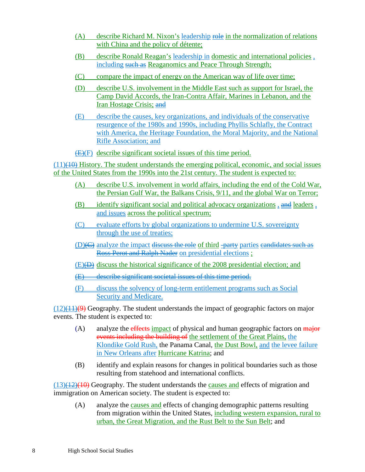- (A) describe Richard M. Nixon's leadership role in the normalization of relations with China and the policy of détente;
- (B) describe Ronald Reagan's leadership in domestic and international policies , including such as Reaganomics and Peace Through Strength;
- (C) compare the impact of energy on the American way of life over time;
- (D) describe U.S. involvement in the Middle East such as support for Israel, the Camp David Accords, the Iran-Contra Affair, Marines in Lebanon, and the Iran Hostage Crisis; and
- (E) describe the causes, key organizations, and individuals of the conservative resurgence of the 1980s and 1990s, including Phyllis Schlafly, the Contract with America, the Heritage Foundation, the Moral Majority, and the National Rifle Association; and
- (E)(F) describe significant societal issues of this time period.

 $(11)(10)$  History. The student understands the emerging political, economic, and social issues of the United States from the 1990s into the 21st century. The student is expected to:

- (A) describe U.S. involvement in world affairs, including the end of the Cold War, the Persian Gulf War, the Balkans Crisis, 9/11, and the global War on Terror;
- (B) identify significant social and political advocacy organizations  $\Box$  and leaders  $\Box$ and issues across the political spectrum;
- (C) evaluate efforts by global organizations to undermine U.S. sovereignty through the use of treaties;
- $(D)$  ( $\ominus$ ) analyze the impact discuss the role of third -party parties eandidates such as Ross Perot and Ralph Nader on presidential elections ;
- $(E)$ ) discuss the historical significance of the 2008 presidential election; and
- (E) describe significant societal issues of this time period.
- (F) discuss the solvency of long-term entitlement programs such as Social Security and Medicare.

 $(12)(11)(9)$  Geography. The student understands the impact of geographic factors on major events. The student is expected to:

- (A) analyze the effects impact of physical and human geographic factors on  $\frac{1}{\text{major}}$ events including the building of the settlement of the Great Plains, the Klondike Gold Rush, the Panama Canal, the Dust Bowl, and the levee failure in New Orleans after Hurricane Katrina; and
- (B) identify and explain reasons for changes in political boundaries such as those resulting from statehood and international conflicts.

 $(13)(12)(10)$  Geography. The student understands the causes and effects of migration and immigration on American society. The student is expected to:

(A) analyze the causes and effects of changing demographic patterns resulting from migration within the United States, including western expansion, rural to urban, the Great Migration, and the Rust Belt to the Sun Belt; and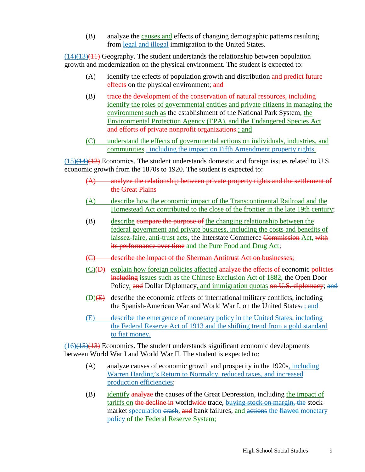(B) analyze the causes and effects of changing demographic patterns resulting from legal and illegal immigration to the United States.

 $(14)$ ( $\overline{13}$ )( $\overline{11}$ ) Geography. The student understands the relationship between population growth and modernization on the physical environment. The student is expected to:

- $(A)$  identify the effects of population growth and distribution and predict future effects on the physical environment; and
- (B) trace the development of the conservation of natural resources, including identify the roles of governmental entities and private citizens in managing the environment such as the establishment of the National Park System, the Environmental Protection Agency (EPA), and the Endangered Species Act and efforts of private nonprofit organizations.; and
- (C) understand the effects of governmental actions on individuals, industries, and communities , including the impact on Fifth Amendment property rights.

 $(15)(14)(12)$  Economics. The student understands domestic and foreign issues related to U.S. economic growth from the 1870s to 1920. The student is expected to:

- (A) analyze the relationship between private property rights and the settlement of the Great Plains
- (A) describe how the economic impact of the Transcontinental Railroad and the Homestead Act contributed to the close of the frontier in the late 19th century;
- (B) describe compare the purpose of the changing relationship between the federal government and private business, including the costs and benefits of laissez-faire, anti-trust acts, the Interstate Commerce Commission Act, with its performance over time and the Pure Food and Drug Act;
- (C) describe the impact of the Sherman Antitrust Act on businesses;
- $(C)(D)$  explain how foreign policies affected analyze the effects of economic policies including issues such as the Chinese Exclusion Act of 1882, the Open Door Policy, and Dollar Diplomacy, and immigration quotas on U.S. diplomacy; and
- $(D)$ (E) describe the economic effects of international military conflicts, including the Spanish-American War and World War I, on the United States. ; and
- (E) describe the emergence of monetary policy in the United States, including the Federal Reserve Act of 1913 and the shifting trend from a gold standard to fiat money.

 $(16)(15)(13)$  Economics. The student understands significant economic developments between World War I and World War II. The student is expected to:

- (A) analyze causes of economic growth and prosperity in the 1920s, including Warren Harding's Return to Normalcy, reduced taxes, and increased production efficiencies;
- (B) identify analyze the causes of the Great Depression, including the impact of tariffs on the decline in worldwide trade, buying stock on margin, the stock market speculation erash, and bank failures, and actions the flawed monetary policy of the Federal Reserve System;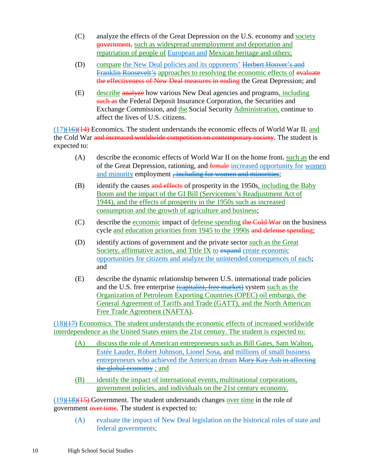- (C) analyze the effects of the Great Depression on the U.S. economy and society government, such as widespread unemployment and deportation and repatriation of people of European and Mexican heritage and others;
- (D) compare the New Deal policies and its opponents' Herbert Hoover's and Franklin Roosevelt's approaches to resolving the economic effects of evaluate the effectiveness of New Deal measures in ending the Great Depression; and
- (E) describe analyze how various New Deal agencies and programs, including such as the Federal Deposit Insurance Corporation, the Securities and Exchange Commission, and the Social Security Administration, continue to affect the lives of U.S. citizens.

 $(17)(16)(14)$  Economics. The student understands the economic effects of World War II, and the Cold War and increased worldwide competition on contemporary society. The student is expected to:

- (A) describe the economic effects of World War II on the home front, such as the end of the Great Depression, rationing, and female increased opportunity for women and minority employment <del>, including for women and minorities</del>;
- (B) identify the causes and effects of prosperity in the 1950s, including the Baby Boom and the impact of the GI Bill (Servicemen's Readjustment Act of 1944), and the effects of prosperity in the 1950s such as increased consumption and the growth of agriculture and business;
- (C) describe the economic impact of defense spending the Cold War on the business cycle and education priorities from 1945 to the 1990s and defense spending;
- (D) identify actions of government and the private sector such as the Great Society, affirmative action, and Title IX to expand create economic opportunities for citizens and analyze the unintended consequences of each; and
- (E) describe the dynamic relationship between U.S. international trade policies and the U.S. free enterprise (capitalist, free market) system such as the Organization of Petroleum Exporting Countries (OPEC) oil embargo, the General Agreement of Tariffs and Trade (GATT), and the North American Free Trade Agreement (NAFTA).

 $(18)(17)$  Economics. The student understands the economic effects of increased worldwide interdependence as the United States enters the 21st century. The student is expected to:

- (A) discuss the role of American entrepreneurs such as Bill Gates, Sam Walton, Estée Lauder, Robert Johnson, Lionel Sosa, and millions of small business entrepreneurs who achieved the American dream Mary Kay Ash in affecting the global economy ; and
- (B) identify the impact of international events, multinational corporations, government policies, and individuals on the 21st century economy.

 $(19)(18)(15)$  Government. The student understands changes over time in the role of government over time. The student is expected to:

(A) evaluate the impact of New Deal legislation on the historical roles of state and federal governments;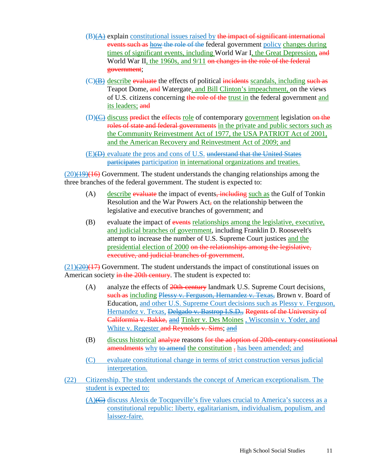- $(B)$ (A) explain constitutional issues raised by the impact of significant international events such as how the role of the federal government policy changes during times of significant events, including World War I, the Great Depression, and World War II, the 1960s, and 9/11 on changes in the role of the federal government;
- $(C)(B)$  describe evaluate the effects of political incidents scandals, including such as Teapot Dome, and Watergate, and Bill Clinton's impeachment, on the views of U.S. citizens concerning the role of the trust in the federal government and its leaders; and
- $(D)$ ( $C$ ) discuss predict the effects role of contemporary government legislation on the roles of state and federal governments in the private and public sectors such as the Community Reinvestment Act of 1977, the USA PATRIOT Act of 2001, and the American Recovery and Reinvestment Act of 2009; and
- (E)(D) evaluate the pros and cons of U.S. understand that the United States participates participation in international organizations and treaties.

 $(20)(19)(16)$  Government. The student understands the changing relationships among the three branches of the federal government. The student is expected to:

- (A) describe evaluate the impact of events, including such as the Gulf of Tonkin Resolution and the War Powers Act, on the relationship between the legislative and executive branches of government; and
- (B) evaluate the impact of events relationships among the legislative, executive, and judicial branches of government, including Franklin D. Roosevelt's attempt to increase the number of U.S. Supreme Court justices and the presidential election of 2000 on the relationships among the legislative, executive, and judicial branches of government.

 $(21)(20)(17)$  Government. The student understands the impact of constitutional issues on American society in the 20th century. The student is expected to:

- (A) analyze the effects of  $20th$ -century landmark U.S. Supreme Court decisions, such as including Plessy v. Ferguson, Hernandez v. Texas, Brown v. Board of Education, and other U.S. Supreme Court decisions such as Plessy v. Ferguson, Hernandez v. Texas, Delgado v. Bastrop I.S.D., Regents of the University of Califormia v. Bakke, and Tinker v. Des Moines , Wisconsin v. Yoder, and White v. Regester and Reynolds v. Sims; and
- (B) discuss historical analyze reasons for the adoption of 20th-century constitutional amendments why to amend the constitution - has been amended; and
- (C) evaluate constitutional change in terms of strict construction versus judicial interpretation.
- (22) Citizenship. The student understands the concept of American exceptionalism. The student is expected to:
	- $(A)$ ( $C$ ) discuss Alexis de Tocqueville's five values crucial to America's success as a constitutional republic: liberty, egalitarianism, individualism, populism, and laissez-faire.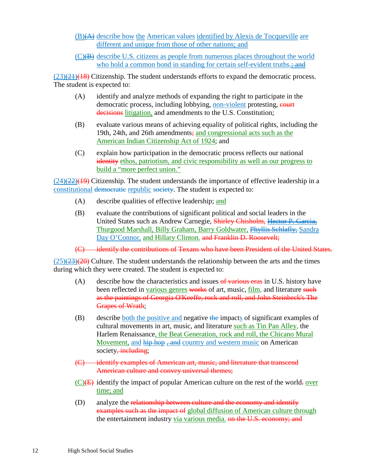- (B)(A) describe how the American values identified by Alexis de Tocqueville are different and unique from those of other nations; and
- $(C)$ ( $\overline{B}$ ) describe U.S. citizens as people from numerous places throughout the world who hold a common bond in standing for certain self-evident truths.; and

 $(23)(21)(18)$  Citizenship. The student understands efforts to expand the democratic process. The student is expected to:

- (A) identify and analyze methods of expanding the right to participate in the democratic process, including lobbying, non-violent protesting, court decisions litigation, and amendments to the U.S. Constitution;
- (B) evaluate various means of achieving equality of political rights, including the 19th, 24th, and 26th amendments; and congressional acts such as the American Indian Citizenship Act of 1924; and
- (C) explain how participation in the democratic process reflects our national identity ethos, patriotism, and civic responsibility as well as our progress to build a "more perfect union."

 $(24)$ (22)(19) Citizenship. The student understands the importance of effective leadership in a constitutional democratic republic society. The student is expected to:

- (A) describe qualities of effective leadership; and
- (B) evaluate the contributions of significant political and social leaders in the United States such as Andrew Carnegie, Shirley Chisholm, Hector P. Garcia, Thurgood Marshall, Billy Graham, Barry Goldwater, Phyllis Schlafly, Sandra Day O'Connor, and Hillary Clinton. and Franklin D. Roosevelt;

(C) identify the contributions of Texans who have been President of the United States.

 $(25)(23)(20)$  Culture. The student understands the relationship between the arts and the times during which they were created. The student is expected to:

- (A) describe how the characteristics and issues  $\theta$  various eras in U.S. history have been reflected in various genres works of art, music, film, and literature such as the paintings of Georgia O'Keeffe, rock and roll, and John Steinbeck's The Grapes of Wrath;
- (B) describe both the positive and negative the impacts of significant examples of cultural movements in art, music, and literature such as Tin Pan Alley, the Harlem Renaissance, the Beat Generation, rock and roll, the Chicano Mural Movement, and hip hop, and country and western music on American society, including;
- (C) identify examples of American art, music, and literature that transcend American culture and convey universal themes;
- $(C)(E)$  identify the impact of popular American culture on the rest of the world-over time; and
- (D) analyze the relationship between culture and the economy and identify examples such as the impact of global diffusion of American culture through the entertainment industry via various media. on the U.S. economy; and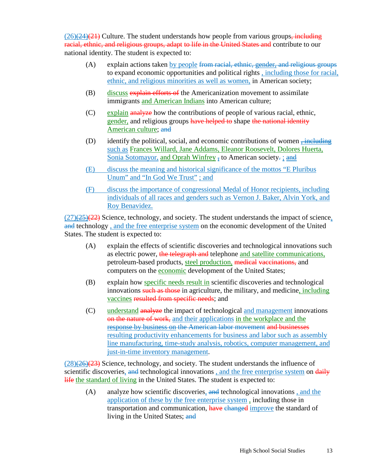$(26)(24)(21)$  Culture. The student understands how people from various groups, including racial, ethnic, and religious groups, adapt to life in the United States and contribute to our national identity. The student is expected to:

- $(A)$  explain actions taken by people from racial, ethnic, gender, and religious groups to expand economic opportunities and political rights , including those for racial, ethnic, and religious minorities as well as women, in American society;
- (B) discuss explain efforts of the Americanization movement to assimilate immigrants and American Indians into American culture;
- (C) explain analyze how the contributions of people of various racial, ethnic, gender, and religious groups have helped to shape the national identity American culture; and
- (D) identify the political, social, and economic contributions of women  $\frac{1}{2}$ such as Frances Willard, Jane Addams, Eleanor Roosevelt, Dolores Huerta, Sonia Sotomayor, and Oprah Winfrey  $\overline{z}$  to American society. ; and
- (E) discuss the meaning and historical significance of the mottos "E Pluribus Unum" and "In God We Trust" ; and
- (F) discuss the importance of congressional Medal of Honor recipients, including individuals of all races and genders such as Vernon J. Baker, Alvin York, and Roy Benavidez.

 $(27)(25)(22)$  Science, technology, and society. The student understands the impact of science, and technology, and the free enterprise system on the economic development of the United States. The student is expected to:

- (A) explain the effects of scientific discoveries and technological innovations such as electric power, the telegraph and telephone and satellite communications, petroleum-based products, steel production, medical vaccinations, and computers on the economic development of the United States;
- (B) explain how specific needs result in scientific discoveries and technological innovations such as those in agriculture, the military, and medicine, including vaccines resulted from specific needs; and
- (C) understand analyze the impact of technological and management innovations on the nature of work, and their applications in the workplace and the response by business on the American labor movement and businesses resulting productivity enhancements for business and labor such as assembly line manufacturing, time-study analysis, robotics, computer management, and just-in-time inventory management.

 $(28)(26)(23)$  Science, technology, and society. The student understands the influence of scientific discoveries, and technological innovations, and the free enterprise system on daily life the standard of living in the United States. The student is expected to:

(A) analyze how scientific discoveries, and technological innovations , and the application of these by the free enterprise system, including those in transportation and communication, have changed improve the standard of living in the United States; and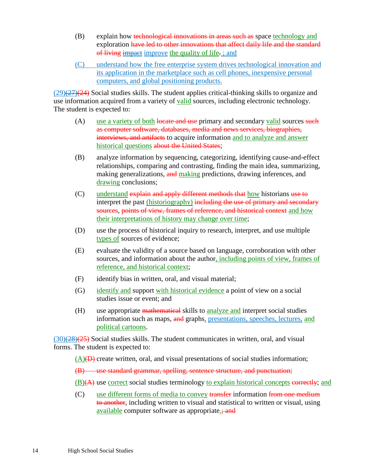- (B) explain how technological innovations in areas such as space technology and exploration have led to other innovations that affect daily life and the standard of living impact improve the quality of life. ; and
- (C) understand how the free enterprise system drives technological innovation and its application in the marketplace such as cell phones, inexpensive personal computers, and global positioning products.

 $(29)(27)(24)$  Social studies skills. The student applies critical-thinking skills to organize and use information acquired from a variety of valid sources, including electronic technology. The student is expected to:

- (A) use a variety of both locate and use primary and secondary valid sources such as computer software, databases, media and news services, biographies, interviews, and artifacts to acquire information and to analyze and answer historical questions about the United States;
- (B) analyze information by sequencing, categorizing, identifying cause-and-effect relationships, comparing and contrasting, finding the main idea, summarizing, making generalizations, and making predictions, drawing inferences, and drawing conclusions;
- (C) understand explain and apply different methods that how historians use to interpret the past (historiography) including the use of primary and secondary sources, points of view, frames of reference, and historical context and how their interpretations of history may change over time;
- (D) use the process of historical inquiry to research, interpret, and use multiple types of sources of evidence;
- (E) evaluate the validity of a source based on language, corroboration with other sources, and information about the author, including points of view, frames of reference, and historical context;
- (F) identify bias in written, oral, and visual material;
- (G) identify and support with historical evidence a point of view on a social studies issue or event; and
- (H) use appropriate mathematical skills to analyze and interpret social studies information such as maps, and graphs, presentations, speeches, lectures, and political cartoons.

 $(30)(28)(25)$  Social studies skills. The student communicates in written, oral, and visual forms. The student is expected to:

 $(A)(\theta)$  create written, oral, and visual presentations of social studies information;

(B) use standard grammar, spelling, sentence structure, and punctuation;

 $(B)(A)$  use correct social studies terminology to explain historical concepts correctly; and

(C) use different forms of media to convey transfer information from one medium to another, including written to visual and statistical to written or visual, using available computer software as appropriate.; and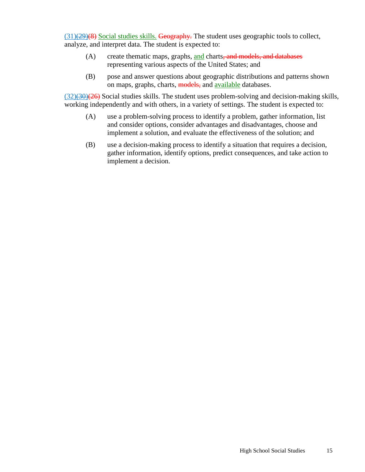$(31)(29)(8)$  Social studies skills. Geography. The student uses geographic tools to collect, analyze, and interpret data. The student is expected to:

- (A) create thematic maps, graphs, and charts, and models, and databases representing various aspects of the United States; and
- (B) pose and answer questions about geographic distributions and patterns shown on maps, graphs, charts, models, and available databases.

 $(32)(30)(26)$  Social studies skills. The student uses problem-solving and decision-making skills, working independently and with others, in a variety of settings. The student is expected to:

- (A) use a problem-solving process to identify a problem, gather information, list and consider options, consider advantages and disadvantages, choose and implement a solution, and evaluate the effectiveness of the solution; and
- (B) use a decision-making process to identify a situation that requires a decision, gather information, identify options, predict consequences, and take action to implement a decision.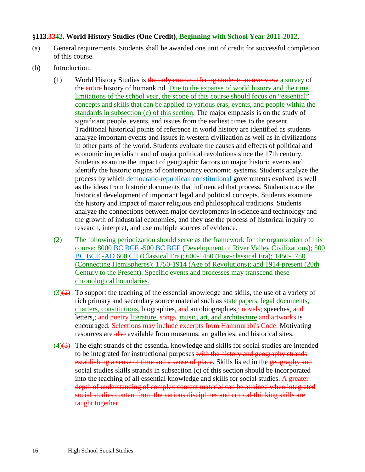### **§113.3342. World History Studies (One Credit), Beginning with School Year 2011-2012.**

- (a) General requirements. Students shall be awarded one unit of credit for successful completion of this course.
- (b) Introduction.
	- (1) World History Studies is the only course offering students an overview a survey of the entire history of humankind. Due to the expanse of world history and the time limitations of the school year, the scope of this course should focus on "essential" concepts and skills that can be applied to various eras, events, and people within the standards in subsection (c) of this section. The major emphasis is on the study of significant people, events, and issues from the earliest times to the present. Traditional historical points of reference in world history are identified as students analyze important events and issues in western civilization as well as in civilizations in other parts of the world. Students evaluate the causes and effects of political and economic imperialism and of major political revolutions since the 17th century. Students examine the impact of geographic factors on major historic events and identify the historic origins of contemporary economic systems. Students analyze the process by which democratic-republican constitutional governments evolved as well as the ideas from historic documents that influenced that process. Students trace the historical development of important legal and political concepts. Students examine the history and impact of major religious and philosophical traditions. Students analyze the connections between major developments in science and technology and the growth of industrial economies, and they use the process of historical inquiry to research, interpret, and use multiple sources of evidence.
	- (2) The following periodization should serve as the framework for the organization of this course: 8000 BC BCE -500 BC BCE (Development of River Valley Civilizations); 500 BC BCE -AD 600 CE (Classical Era); 600-1450 (Post-classical Era); 1450-1750 (Connecting Hemispheres); 1750-1914 (Age of Revolutions); and 1914-present (20th Century to the Present). Specific events and processes may transcend these chronological boundaries.
	- $(3)(2)$  To support the teaching of the essential knowledge and skills, the use of a variety of rich primary and secondary source material such as state papers, legal documents, charters, constitutions, biographies, and autobiographies, novels; speeches, and letters, and poetry literature, songs, music, art, and architecture and artworks is encouraged. Selections may include excerpts from Hammurabi's Code. Motivating resources are also available from museums, art galleries, and historical sites.
	- $(4)$ (4)(3) The eight strands of the essential knowledge and skills for social studies are intended to be integrated for instructional purposes with the history and geography strands establishing a sense of time and a sense of place. Skills listed in the geography and social studies skills strands in subsection (c) of this section should be incorporated into the teaching of all essential knowledge and skills for social studies. A greater depth of understanding of complex content material can be attained when integrated social studies content from the various disciplines and critical-thinking skills are taught together.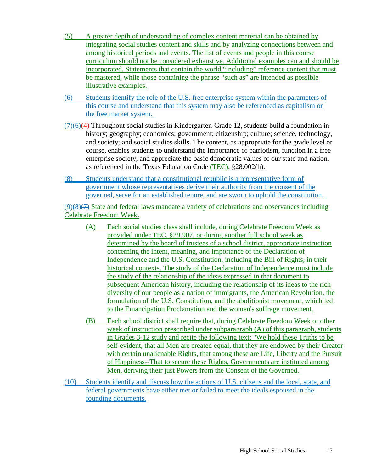- (5) A greater depth of understanding of complex content material can be obtained by integrating social studies content and skills and by analyzing connections between and among historical periods and events. The list of events and people in this course curriculum should not be considered exhaustive. Additional examples can and should be incorporated. Statements that contain the world "including" reference content that must be mastered, while those containing the phrase "such as" are intended as possible illustrative examples.
- (6) Students identify the role of the U.S. free enterprise system within the parameters of this course and understand that this system may also be referenced as capitalism or the free market system.
- $(7)(6)(4)$  Throughout social studies in Kindergarten-Grade 12, students build a foundation in history; geography; economics; government; citizenship; culture; science, technology, and society; and social studies skills. The content, as appropriate for the grade level or course, enables students to understand the importance of patriotism, function in a free enterprise society, and appreciate the basic democratic values of our state and nation, as referenced in the Texas Education Code (TEC), §28.002(h).
- (8) Students understand that a constitutional republic is a representative form of government whose representatives derive their authority from the consent of the governed, serve for an established tenure, and are sworn to uphold the constitution.

 $(9)$ (8)(7) State and federal laws mandate a variety of celebrations and observances including Celebrate Freedom Week.

- (A) Each social studies class shall include, during Celebrate Freedom Week as provided under TEC, §29.907, or during another full school week as determined by the board of trustees of a school district, appropriate instruction concerning the intent, meaning, and importance of the Declaration of Independence and the U.S. Constitution, including the Bill of Rights, in their historical contexts. The study of the Declaration of Independence must include the study of the relationship of the ideas expressed in that document to subsequent American history, including the relationship of its ideas to the rich diversity of our people as a nation of immigrants, the American Revolution, the formulation of the U.S. Constitution, and the abolitionist movement, which led to the Emancipation Proclamation and the women's suffrage movement.
- (B) Each school district shall require that, during Celebrate Freedom Week or other week of instruction prescribed under subparagraph (A) of this paragraph, students in Grades 3-12 study and recite the following text: "We hold these Truths to be self-evident, that all Men are created equal, that they are endowed by their Creator with certain unalienable Rights, that among these are Life, Liberty and the Pursuit of Happiness--That to secure these Rights, Governments are instituted among Men, deriving their just Powers from the Consent of the Governed."
- (10) Students identify and discuss how the actions of U.S. citizens and the local, state, and federal governments have either met or failed to meet the ideals espoused in the founding documents.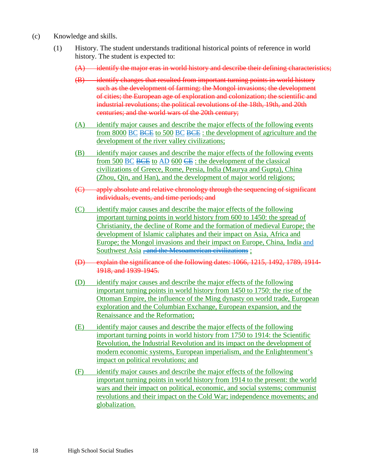- (c) Knowledge and skills.
	- (1) History. The student understands traditional historical points of reference in world history. The student is expected to:
		- $(A)$  identify the major eras in world history and describe their defining characteristics;
		- (B) identify changes that resulted from important turning points in world history such as the development of farming; the Mongol invasions; the development of cities; the European age of exploration and colonization; the scientific and industrial revolutions; the political revolutions of the 18th, 19th, and 20th centuries; and the world wars of the 20th century;
		- (A) identify major causes and describe the major effects of the following events from 8000 BC BCE to 500 BC BCE : the development of agriculture and the development of the river valley civilizations;
		- (B) identify major causes and describe the major effects of the following events from 500 BC BCE to AD 600 CE : the development of the classical civilizations of Greece, Rome, Persia, India (Maurya and Gupta), China (Zhou, Qin, and Han), and the development of major world religions;
		- (C) apply absolute and relative chronology through the sequencing of significant individuals, events, and time periods; and
		- (C) identify major causes and describe the major effects of the following important turning points in world history from 600 to 1450: the spread of Christianity, the decline of Rome and the formation of medieval Europe; the development of Islamic caliphates and their impact on Asia, Africa and Europe; the Mongol invasions and their impact on Europe, China, India and Southwest Asia <del>, and the Mesoamerican civilizations</del>;
		- (D) explain the significance of the following dates: 1066, 1215, 1492, 1789, 1914- 1918, and 1939-1945.
		- (D) identify major causes and describe the major effects of the following important turning points in world history from 1450 to 1750: the rise of the Ottoman Empire, the influence of the Ming dynasty on world trade, European exploration and the Columbian Exchange, European expansion, and the Renaissance and the Reformation;
		- (E) identify major causes and describe the major effects of the following important turning points in world history from 1750 to 1914: the Scientific Revolution, the Industrial Revolution and its impact on the development of modern economic systems, European imperialism, and the Enlightenment's impact on political revolutions; and
		- (F) identify major causes and describe the major effects of the following important turning points in world history from 1914 to the present: the world wars and their impact on political, economic, and social systems; communist revolutions and their impact on the Cold War; independence movements; and globalization.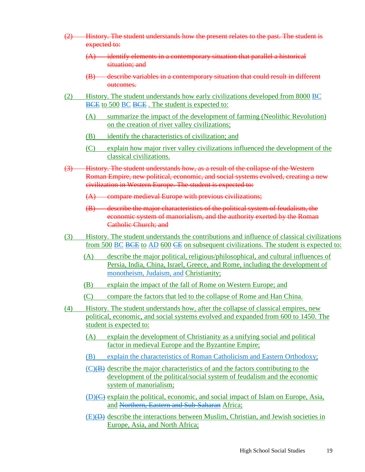- (2) History. The student understands how the present relates to the past. The student is expected to:
	- (A) identify elements in a contemporary situation that parallel a historical situation; and
	- (B) describe variables in a contemporary situation that could result in different outcomes.
- (2) History. The student understands how early civilizations developed from 8000 BC BCE to 500 BC BCE. The student is expected to:
	- (A) summarize the impact of the development of farming (Neolithic Revolution) on the creation of river valley civilizations;
	- (B) identify the characteristics of civilization; and
	- (C) explain how major river valley civilizations influenced the development of the classical civilizations.
- (3) History. The student understands how, as a result of the collapse of the Western Roman Empire, new political, economic, and social systems evolved, creating a new civilization in Western Europe. The student is expected to:
	- (A) compare medieval Europe with previous civilizations;
	- (B) describe the major characteristics of the political system of feudalism, the economic system of manorialism, and the authority exerted by the Roman Catholic Church; and
- (3) History. The student understands the contributions and influence of classical civilizations from 500 BC BCE to AD 600 CE on subsequent civilizations. The student is expected to:
	- (A) describe the major political, religious/philosophical, and cultural influences of Persia, India, China, Israel, Greece, and Rome, including the development of monotheism, Judaism, and Christianity;
	- (B) explain the impact of the fall of Rome on Western Europe; and
	- (C) compare the factors that led to the collapse of Rome and Han China.
- (4) History. The student understands how, after the collapse of classical empires, new political, economic, and social systems evolved and expanded from 600 to 1450. The student is expected to:
	- (A) explain the development of Christianity as a unifying social and political factor in medieval Europe and the Byzantine Empire;
	- (B) explain the characteristics of Roman Catholicism and Eastern Orthodoxy;
	- (C)(B) describe the major characteristics of and the factors contributing to the development of the political/social system of feudalism and the economic system of manorialism;
	- (D)(C) explain the political, economic, and social impact of Islam on Europe, Asia, and Northern, Eastern and Sub-Saharan Africa;
	- (E)(D) describe the interactions between Muslim, Christian, and Jewish societies in Europe, Asia, and North Africa;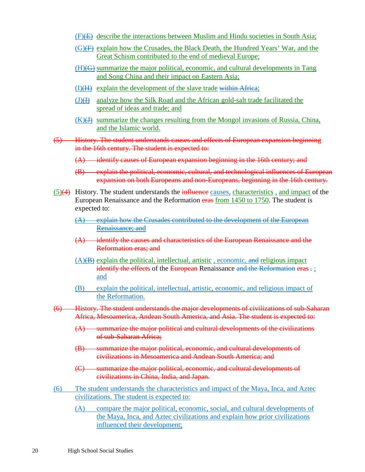- (F)(E) describe the interactions between Muslim and Hindu societies in South Asia;
- $(G)(F)$  explain how the Crusades, the Black Death, the Hundred Years' War, and the Great Schism contributed to the end of medieval Europe;
- (H)(G) summarize the major political, economic, and cultural developments in Tang and Song China and their impact on Eastern Asia;
- (I)(H) explain the development of the slave trade within Africa;
- $(J)(H)$  analyze how the Silk Road and the African gold-salt trade facilitated the spread of ideas and trade; and
- $(K)(H)$  summarize the changes resulting from the Mongol invasions of Russia, China, and the Islamic world.
- (5) History. The student understands causes and effects of European expansion beginning in the 16th century. The student is expected to:
	- (A) identify causes of European expansion beginning in the 16th century; and
	- (B) explain the political, economic, cultural, and technological influences of European expansion on both Europeans and non-Europeans, beginning in the 16th century.
- $(5)(4)$  History. The student understands the influence causes, characteristics, and impact of the European Renaissance and the Reformation eras from 1450 to 1750. The student is expected to:
	- (A) explain how the Crusades contributed to the development of the European Renaissance; and
	- (A) identify the causes and characteristics of the European Renaissance and the Reformation eras; and
	- (A)(B) explain the political, intellectual, artistic , economic, and religious impact identify the effects of the European Renaissance and the Reformation eras -; and
	- (B) explain the political, intellectual, artistic, economic, and religious impact of the Reformation.
- (6) History. The student understands the major developments of civilizations of sub-Saharan Africa, Mesoamerica, Andean South America, and Asia. The student is expected to:
	- (A) summarize the major political and cultural developments of the civilizations of sub-Saharan Africa;
	- (B) summarize the major political, economic, and cultural developments of civilizations in Mesoamerica and Andean South America; and
	- (C) summarize the major political, economic, and cultural developments of civilizations in China, India, and Japan.
- (6) The student understands the characteristics and impact of the Maya, Inca, and Aztec civilizations. The student is expected to:
	- (A) compare the major political, economic, social, and cultural developments of the Maya, Inca, and Aztec civilizations and explain how prior civilizations influenced their development;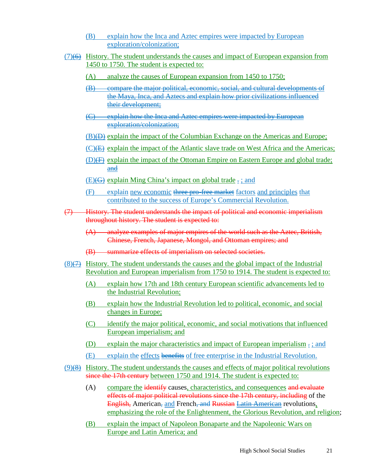- (B) explain how the Inca and Aztec empires were impacted by European exploration/colonization;
- (7)(6) History. The student understands the causes and impact of European expansion from 1450 to 1750. The student is expected to:
	- (A) analyze the causes of European expansion from 1450 to 1750;
	- (B) compare the major political, economic, social, and cultural developments of the Maya, Inca, and Aztecs and explain how prior civilizations influenced their development;
	- (C) explain how the Inca and Aztec empires were impacted by European exploration/colonization;
	- (B)(D) explain the impact of the Columbian Exchange on the Americas and Europe;
	- $(C)$ (E) explain the impact of the Atlantic slave trade on West Africa and the Americas;
	- (D)(F) explain the impact of the Ottoman Empire on Eastern Europe and global trade; and
	- $(E)(G)$  explain Ming China's impact on global trade  $\frac{1}{2}$ ; and
	- (F) explain new economic three pro-free market factors and principles that contributed to the success of Europe's Commercial Revolution.
- (7) History. The student understands the impact of political and economic imperialism throughout history. The student is expected to:
	- (A) analyze examples of major empires of the world such as the Aztec, British, Chinese, French, Japanese, Mongol, and Ottoman empires; and
	- (B) summarize effects of imperialism on selected societies.
- (8)(7) History. The student understands the causes and the global impact of the Industrial Revolution and European imperialism from 1750 to 1914. The student is expected to:
	- (A) explain how 17th and 18th century European scientific advancements led to the Industrial Revolution;
	- (B) explain how the Industrial Revolution led to political, economic, and social changes in Europe;
	- (C) identify the major political, economic, and social motivations that influenced European imperialism; and
	- (D) explain the major characteristics and impact of European imperialism . ; and
	- (E) explain the effects benefits of free enterprise in the Industrial Revolution.
- (9)(8) History. The student understands the causes and effects of major political revolutions since the 17th century between 1750 and 1914. The student is expected to:
	- (A) compare the identify causes, characteristics, and consequences and evaluate effects of major political revolutions since the 17th century, including of the **English, American, and French<del>, and Russian</del> Latin American revolutions,** emphasizing the role of the Enlightenment, the Glorious Revolution, and religion;
	- (B) explain the impact of Napoleon Bonaparte and the Napoleonic Wars on Europe and Latin America; and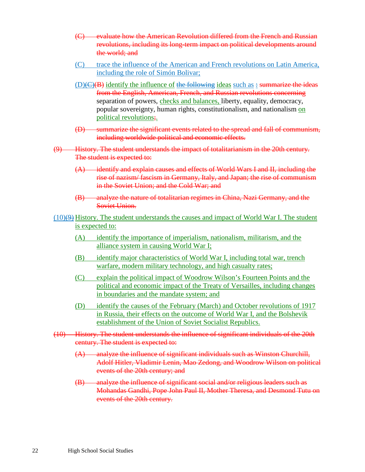- (C) evaluate how the American Revolution differed from the French and Russian revolutions, including its long-term impact on political developments around the world; and
- (C) trace the influence of the American and French revolutions on Latin America, including the role of Simón Bolivar;
- $(D)(C)(B)$  identify the influence of the following ideas such as  $\div$  summarize the ideas from the English, American, French, and Russian revolutions concerning separation of powers, checks and balances, liberty, equality, democracy, popular sovereignty, human rights, constitutionalism, and nationalism on political revolutions;.
- (D) summarize the significant events related to the spread and fall of communism, including worldwide political and economic effects.
- (9) History. The student understands the impact of totalitarianism in the 20th century. The student is expected to:
	- (A) identify and explain causes and effects of World Wars I and II, including the rise of nazism/ fascism in Germany, Italy, and Japan; the rise of communism in the Soviet Union; and the Cold War; and
	- (B) analyze the nature of totalitarian regimes in China, Nazi Germany, and the Soviet Union.
- $(10)(9)$  History. The student understands the causes and impact of World War I. The student is expected to:
	- (A) identify the importance of imperialism, nationalism, militarism, and the alliance system in causing World War I;
	- (B) identify major characteristics of World War I, including total war, trench warfare, modern military technology, and high casualty rates;
	- (C) explain the political impact of Woodrow Wilson's Fourteen Points and the political and economic impact of the Treaty of Versailles, including changes in boundaries and the mandate system; and
	- (D) identify the causes of the February (March) and October revolutions of 1917 in Russia, their effects on the outcome of World War I, and the Bolshevik establishment of the Union of Soviet Socialist Republics.
- (10) History. The student understands the influence of significant individuals of the 20th century. The student is expected to:
	- $(A)$  analyze the influence of significant individuals such as Winston Churchill, Adolf Hitler, Vladimir Lenin, Mao Zedong, and Woodrow Wilson on political events of the 20th century; and
	- (B) analyze the influence of significant social and/or religious leaders such as Mohandas Gandhi, Pope John Paul II, Mother Theresa, and Desmond Tutu on events of the 20th century.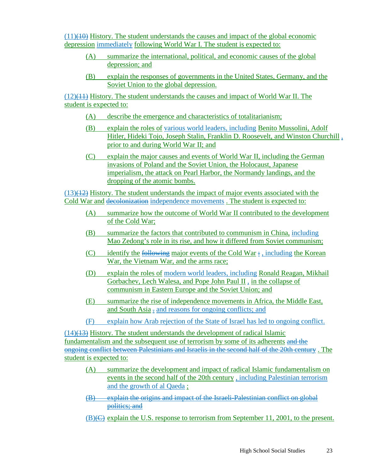$(11)(40)$  History. The student understands the causes and impact of the global economic depression immediately following World War I. The student is expected to:

- (A) summarize the international, political, and economic causes of the global depression; and
- (B) explain the responses of governments in the United States, Germany, and the Soviet Union to the global depression.

 $(12)(11)$  History. The student understands the causes and impact of World War II. The student is expected to:

- (A) describe the emergence and characteristics of totalitarianism;
- (B) explain the roles of various world leaders, including Benito Mussolini, Adolf Hitler, Hideki Tojo, Joseph Stalin, Franklin D. Roosevelt, and Winston Churchill , prior to and during World War II; and
- (C) explain the major causes and events of World War II, including the German invasions of Poland and the Soviet Union, the Holocaust, Japanese imperialism, the attack on Pearl Harbor, the Normandy landings, and the dropping of the atomic bombs.

 $(13)(12)$  History. The student understands the impact of major events associated with the Cold War and decolonization independence movements . The student is expected to:

- (A) summarize how the outcome of World War II contributed to the development of the Cold War;
- (B) summarize the factors that contributed to communism in China, including Mao Zedong's role in its rise, and how it differed from Soviet communism;
- (C) identify the following major events of the Cold War  $\div$ , including the Korean War, the Vietnam War, and the arms race;
- (D) explain the roles of modern world leaders, including Ronald Reagan, Mikhail Gorbachev, Lech Walesa, and Pope John Paul II , in the collapse of communism in Eastern Europe and the Soviet Union; and
- (E) summarize the rise of independence movements in Africa, the Middle East, and South Asia - and reasons for ongoing conflicts; and
- (F) explain how Arab rejection of the State of Israel has led to ongoing conflict.

(14)(13) History. The student understands the development of radical Islamic fundamentalism and the subsequent use of terrorism by some of its adherents and the ongoing conflict between Palestinians and Israelis in the second half of the 20th century . The student is expected to:

- (A) summarize the development and impact of radical Islamic fundamentalism on events in the second half of the 20th century , including Palestinian terrorism and the growth of al Qaeda ;
- (B) explain the origins and impact of the Israeli-Palestinian conflict on global politics; and
- (B)(C) explain the U.S. response to terrorism from September 11, 2001, to the present.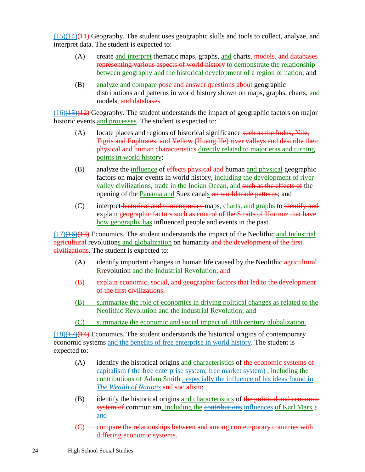$(15)(14)(11)$  Geography. The student uses geographic skills and tools to collect, analyze, and interpret data. The student is expected to:

- (A) create and interpret thematic maps, graphs, and charts, models, and databases representing various aspects of world history to demonstrate the relationship between geography and the historical development of a region or nation; and
- (B) analyze and compare pose and answer questions about geographic distributions and patterns in world history shown on maps, graphs, charts, and models, and databases.

 $(16)(15)(12)$  Geography. The student understands the impact of geographic factors on major historic events and processes. The student is expected to:

- (A) locate places and regions of historical significance such as the Indus, Nile, Tigris and Euphrates, and Yellow (Huang He) river valleys and describe their physical and human characteristics directly related to major eras and turning points in world history;
- (B) analyze the influence of effects physical and human and physical geographic factors on major events in world history, including the development of river valley civilizations, trade in the Indian Ocean, and such as the effects of the opening of the Panama and Suez canals on world trade patterns; and
- (C) interpret historical and contemporary maps, charts, and graphs to identify and explain geographic factors such as control of the Straits of Hormuz that have how geography has influenced people and events in the past.

 $(17)(16)(13)$  Economics. The student understands the impact of the Neolithic and Industrial agricultural revolutions and globalization on humanity and the development of the first civilizations. The student is expected to:

- (A) identify important changes in human life caused by the Neolithic agricultural Rrevolution and the Industrial Revolution; and
- (B) explain economic, social, and geographic factors that led to the development of the first civilizations.
- (B) summarize the role of economics in driving political changes as related to the Neolithic Revolution and the Industrial Revolution; and
- (C) summarize the economic and social impact of 20th century globalization.

 $(18)(17)(14)$  Economics. The student understands the historical origins of contemporary economic systems and the benefits of free enterprise in world history. The student is expected to:

- $(A)$  identify the historical origins and characteristics of the economic systems of eapitalism (the free enterprise system, free market system), including the contributions of Adam Smith , especially the influence of his ideas found in *The Wealth of Nations* and socialism;
- $(B)$  identify the historical origins and characteristics of the political and economic system of communism, including the contributions influences of Karl Marx ; and
- (C) compare the relationships between and among contemporary countries with differing economic systems.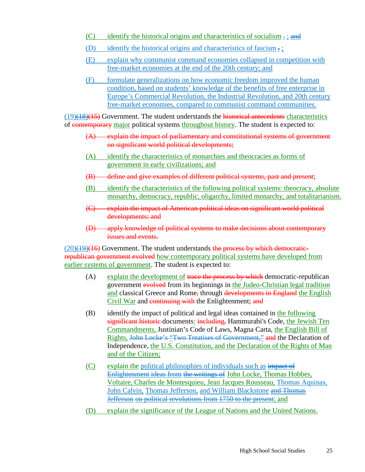- (C) identify the historical origins and characteristics of socialism  $\frac{1}{x}$ ; and
- (D) identify the historical origins and characteristics of fascism  $\frac{1}{2}$ .
- (E) explain why communist command economies collapsed in competition with free-market economies at the end of the 20th century; and
- (F) formulate generalizations on how economic freedom improved the human condition, based on students' knowledge of the benefits of free enterprise in Europe's Commercial Revolution, the Industrial Revolution, and 20th century free-market economies, compared to communist command communities.

 $(19)(18)(15)$  Government. The student understands the historical antecedents characteristics of contemporary major political systems throughout history. The student is expected to:

- (A) explain the impact of parliamentary and constitutional systems of government on significant world political developments;
- (A) identify the characteristics of monarchies and theocracies as forms of government in early civilizations; and
- (B) define and give examples of different political systems, past and present;
- (B) identify the characteristics of the following political systems: theocracy, absolute monarchy, democracy, republic, oligarchy, limited monarchy, and totalitarianism.
- (C) explain the impact of American political ideas on significant world political developments; and
- (D) apply knowledge of political systems to make decisions about contemporary issues and events.

 $(20)(19)(16)$  Government. The student understands the process by which democraticrepublican government evolved how contemporary political systems have developed from earlier systems of government. The student is expected to:

- (A) explain the development of trace the process by which democratic-republican government evolved from its beginnings in the Judeo-Christian legal tradition and classical Greece and Rome, through developments in England the English Civil War and continuing with the Enlightenment; and
- (B) identify the impact of political and legal ideas contained in the following significant historic documents: including, Hammurabi's Code, the Jewish Ten Commandments, Justinian's Code of Laws, Magna Carta, the English Bill of Rights, John Locke's "Two Treatises of Government," and the Declaration of Independence, the U.S. Constitution, and the Declaration of the Rights of Man and of the Citizen;
- $(C)$  explain the political philosophies of individuals such as impact of Enlightenment ideas from the writings of John Locke, Thomas Hobbes, Voltaire, Charles de Montesquieu, Jean Jacques Rousseau, Thomas Aquinas, John Calvin, Thomas Jefferson, and William Blackstone and Thomas Jefferson on political revolutions from 1750 to the present; and
- (D) explain the significance of the League of Nations and the United Nations.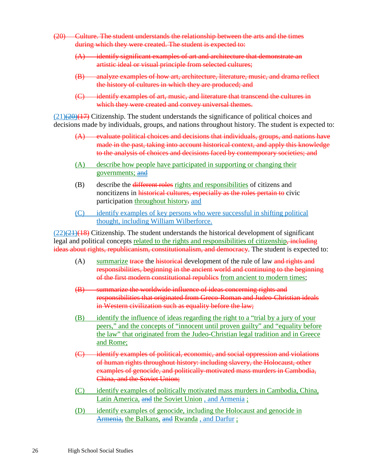- (20) Culture. The student understands the relationship between the arts and the times during which they were created. The student is expected to:
	- (A) identify significant examples of art and architecture that demonstrate an artistic ideal or visual principle from selected cultures;
	- (B) analyze examples of how art, architecture, literature, music, and drama reflect the history of cultures in which they are produced; and
	- (C) identify examples of art, music, and literature that transcend the cultures in which they were created and convey universal themes.

 $(21)(20)(17)$  Citizenship. The student understands the significance of political choices and decisions made by individuals, groups, and nations throughout history. The student is expected to:

- (A) evaluate political choices and decisions that individuals, groups, and nations have made in the past, taking into account historical context, and apply this knowledge to the analysis of choices and decisions faced by contemporary societies; and
- (A) describe how people have participated in supporting or changing their governments; and
- (B) describe the different roles rights and responsibilities of citizens and noncitizens in historical cultures, especially as the roles pertain to civic participation throughout history. and
- (C) identify examples of key persons who were successful in shifting political thought, including William Wilberforce.

 $(22)(21)(18)$  Citizenship. The student understands the historical development of significant legal and political concepts related to the rights and responsibilities of citizenship, including ideas about rights, republicanism, constitutionalism, and democracy. The student is expected to:

- $(A)$  summarize trace the historical development of the rule of law and rights and responsibilities, beginning in the ancient world and continuing to the beginning of the first modern constitutional republics from ancient to modern times;
- (B) summarize the worldwide influence of ideas concerning rights and responsibilities that originated from Greco-Roman and Judeo-Christian ideals in Western civilization such as equality before the law;
- (B) identify the influence of ideas regarding the right to a "trial by a jury of your peers," and the concepts of "innocent until proven guilty" and "equality before the law" that originated from the Judeo-Christian legal tradition and in Greece and Rome;
- (C) identify examples of political, economic, and social oppression and violations of human rights throughout history: including slavery, the Holocaust, other examples of genocide, and politically-motivated mass murders in Cambodia, China, and the Soviet Union;
- (C) identify examples of politically motivated mass murders in Cambodia, China, Latin America, and the Soviet Union , and Armenia ;
- (D) identify examples of genocide, including the Holocaust and genocide in Armenia, the Balkans, and Rwanda, and Darfur;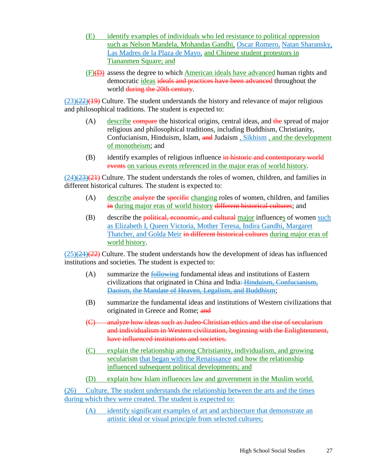- (E) identify examples of individuals who led resistance to political oppression such as Nelson Mandela, Mohandas Gandhi, Oscar Romero, Natan Sharansky, Las Madres de la Plaza de Mayo, and Chinese student protestors in Tiananmen Square; and
- (F)(D) assess the degree to which American ideals have advanced human rights and democratic ideas ideals and practices have been advanced throughout the world during the 20th century.

 $(23)(22)(19)$  Culture. The student understands the history and relevance of major religious and philosophical traditions. The student is expected to:

- $(A)$  describe compare the historical origins, central ideas, and the spread of major religious and philosophical traditions, including Buddhism, Christianity, Confucianism, Hinduism, Islam, and Judaism, Sikhism, and the development of monotheism; and
- $(B)$  identify examples of religious influence in historic and contemporary world events on various events referenced in the major eras of world history.

 $(24)$  $(24)$  $(23)$  $(21)$  Culture. The student understands the roles of women, children, and families in different historical cultures. The student is expected to:

- (A) describe analyze the specific changing roles of women, children, and families in during major eras of world history different historical cultures; and
- (B) describe the political, economic, and cultural major influences of women such as Elizabeth I, Queen Victoria, Mother Teresa, Indira Gandhi, Margaret Thatcher, and Golda Meir in different historical cultures during major eras of world history.

 $(25)(24)(22)$  Culture. The student understands how the development of ideas has influenced institutions and societies. The student is expected to:

- (A) summarize the following fundamental ideas and institutions of Eastern civilizations that originated in China and India: Hinduism, Confucianism, Daoism, the Mandate of Heaven, Legalism, and Buddhism;
- (B) summarize the fundamental ideas and institutions of Western civilizations that originated in Greece and Rome; and
- (C) analyze how ideas such as Judeo-Christian ethics and the rise of secularism and individualism in Western civilization, beginning with the Enlightenment, have influenced institutions and societies.
- (C) explain the relationship among Christianity, individualism, and growing secularism that began with the Renaissance and how the relationship influenced subsequent political developments; and
- (D) explain how Islam influences law and government in the Muslim world.

(26) Culture. The student understands the relationship between the arts and the times during which they were created. The student is expected to:

(A) identify significant examples of art and architecture that demonstrate an artistic ideal or visual principle from selected cultures;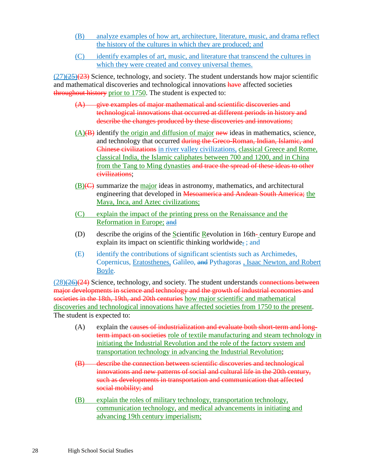- (B) analyze examples of how art, architecture, literature, music, and drama reflect the history of the cultures in which they are produced; and
- (C) identify examples of art, music, and literature that transcend the cultures in which they were created and convey universal themes.

 $(27)(25)(23)$  Science, technology, and society. The student understands how major scientific and mathematical discoveries and technological innovations have affected societies throughout history prior to 1750. The student is expected to:

- (A) give examples of major mathematical and scientific discoveries and technological innovations that occurred at different periods in history and describe the changes produced by these discoveries and innovations;
- $(A)(B)$  identify the origin and diffusion of major new ideas in mathematics, science, and technology that occurred during the Greco-Roman, Indian, Islamic, and Chinese civilizations in river valley civilizations, classical Greece and Rome, classical India, the Islamic caliphates between 700 and 1200, and in China from the Tang to Ming dynasties and trace the spread of these ideas to other civilizations;
- $(B)(C)$  summarize the major ideas in astronomy, mathematics, and architectural engineering that developed in Mesoamerica and Andean South America; the Maya, Inca, and Aztec civilizations;
- (C) explain the impact of the printing press on the Renaissance and the Reformation in Europe; and
- (D) describe the origins of the  $S$ cientific Revolution in 16th-century Europe and explain its impact on scientific thinking worldwide. ; and
- (E) identify the contributions of significant scientists such as Archimedes, Copernicus, Eratosthenes, Galileo, and Pythagoras , Isaac Newton, and Robert Boyle.

 $(28)(26)(24)$  Science, technology, and society. The student understands connections between major developments in science and technology and the growth of industrial economies and societies in the 18th, 19th, and 20th centuries how major scientific and mathematical discoveries and technological innovations have affected societies from 1750 to the present. The student is expected to:

- $(A)$  explain the causes of industrialization and evaluate both short-term and longterm impact on societies role of textile manufacturing and steam technology in initiating the Industrial Revolution and the role of the factory system and transportation technology in advancing the Industrial Revolution;
- (B) describe the connection between scientific discoveries and technological innovations and new patterns of social and cultural life in the 20th century, such as developments in transportation and communication that affected social mobility; and
- (B) explain the roles of military technology, transportation technology, communication technology, and medical advancements in initiating and advancing 19th century imperialism;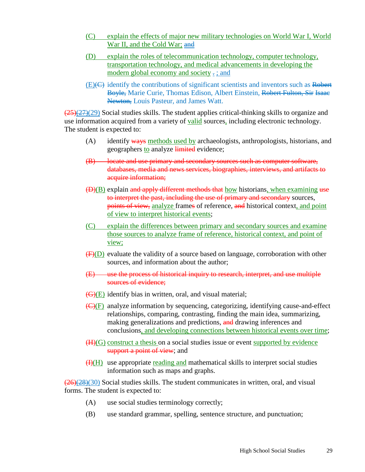- (C) explain the effects of major new military technologies on World War I, World War II, and the Cold War; and
- (D) explain the roles of telecommunication technology, computer technology, transportation technology, and medical advancements in developing the modern global economy and society . ; and
- $(E)(E)$  identify the contributions of significant scientists and inventors such as Robert Boyle, Marie Curie, Thomas Edison, Albert Einstein, Robert Fulton, Sir Isaac Newton, Louis Pasteur, and James Watt.

 $\left(\frac{25}{27}{29}\right)$  Social studies skills. The student applies critical-thinking skills to organize and use information acquired from a variety of valid sources, including electronic technology. The student is expected to:

- (A) identify ways methods used by archaeologists, anthropologists, historians, and geographers to analyze limited evidence;
- (B) locate and use primary and secondary sources such as computer software, databases, media and news services, biographies, interviews, and artifacts to acquire information;
- $(D)(B)$  explain and apply different methods that how historians, when examining use to interpret the past, including the use of primary and secondary sources, points of view, analyze frames of reference, and historical context, and point of view to interpret historical events;
- (C) explain the differences between primary and secondary sources and examine those sources to analyze frame of reference, historical context, and point of view;
- $(F)(D)$  evaluate the validity of a source based on language, corroboration with other sources, and information about the author;
- (E) use the process of historical inquiry to research, interpret, and use multiple sources of evidence:
- $(\mathbf{G})(E)$  identify bias in written, oral, and visual material;
- (C)(F) analyze information by sequencing, categorizing, identifying cause-and-effect relationships, comparing, contrasting, finding the main idea, summarizing, making generalizations and predictions, and drawing inferences and conclusions, and developing connections between historical events over time;
- (H)(G) construct a thesis on a social studies issue or event supported by evidence support a point of view; and
- $(H)(H)$  use appropriate reading and mathematical skills to interpret social studies information such as maps and graphs.

 $(26)(28)(30)$  Social studies skills. The student communicates in written, oral, and visual forms. The student is expected to:

- (A) use social studies terminology correctly;
- (B) use standard grammar, spelling, sentence structure, and punctuation;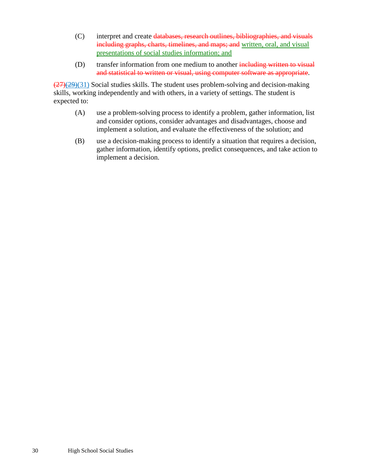- (C) interpret and create databases, research outlines, bibliographies, and visuals including graphs, charts, timelines, and maps; and written, oral, and visual presentations of social studies information; and
- (D) transfer information from one medium to another including written to visual and statistical to written or visual, using computer software as appropriate.

 $\left(\frac{27}{29}(29)(31)\right)$  Social studies skills. The student uses problem-solving and decision-making skills, working independently and with others, in a variety of settings. The student is expected to:

- (A) use a problem-solving process to identify a problem, gather information, list and consider options, consider advantages and disadvantages, choose and implement a solution, and evaluate the effectiveness of the solution; and
- (B) use a decision-making process to identify a situation that requires a decision, gather information, identify options, predict consequences, and take action to implement a decision.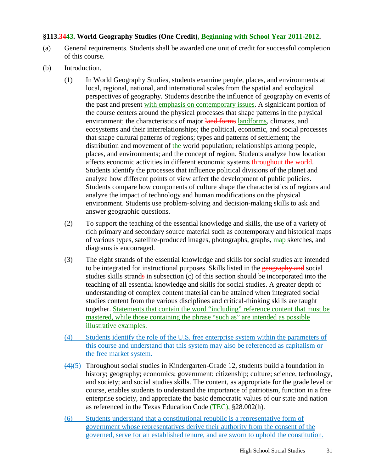## **§113.3443. World Geography Studies (One Credit), Beginning with School Year 2011-2012.**

- (a) General requirements. Students shall be awarded one unit of credit for successful completion of this course.
- (b) Introduction.
	- (1) In World Geography Studies, students examine people, places, and environments at local, regional, national, and international scales from the spatial and ecological perspectives of geography. Students describe the influence of geography on events of the past and present with emphasis on contemporary issues. A significant portion of the course centers around the physical processes that shape patterns in the physical environment; the characteristics of major land forms landforms, climates, and ecosystems and their interrelationships; the political, economic, and social processes that shape cultural patterns of regions; types and patterns of settlement; the distribution and movement of the world population; relationships among people, places, and environments; and the concept of region. Students analyze how location affects economic activities in different economic systems throughout the world. Students identify the processes that influence political divisions of the planet and analyze how different points of view affect the development of public policies. Students compare how components of culture shape the characteristics of regions and analyze the impact of technology and human modifications on the physical environment. Students use problem-solving and decision-making skills to ask and answer geographic questions.
	- (2) To support the teaching of the essential knowledge and skills, the use of a variety of rich primary and secondary source material such as contemporary and historical maps of various types, satellite-produced images, photographs, graphs, map sketches, and diagrams is encouraged.
	- (3) The eight strands of the essential knowledge and skills for social studies are intended to be integrated for instructional purposes. Skills listed in the geography and social studies skills strands in subsection (c) of this section should be incorporated into the teaching of all essential knowledge and skills for social studies. A greater depth of understanding of complex content material can be attained when integrated social studies content from the various disciplines and critical-thinking skills are taught together. Statements that contain the word "including" reference content that must be mastered, while those containing the phrase "such as" are intended as possible illustrative examples.
	- (4) Students identify the role of the U.S. free enterprise system within the parameters of this course and understand that this system may also be referenced as capitalism or the free market system.
	- $(4)(5)$  Throughout social studies in Kindergarten-Grade 12, students build a foundation in history; geography; economics; government; citizenship; culture; science, technology, and society; and social studies skills. The content, as appropriate for the grade level or course, enables students to understand the importance of patriotism, function in a free enterprise society, and appreciate the basic democratic values of our state and nation as referenced in the Texas Education Code (TEC), §28.002(h).
	- (6) Students understand that a constitutional republic is a representative form of government whose representatives derive their authority from the consent of the governed, serve for an established tenure, and are sworn to uphold the constitution.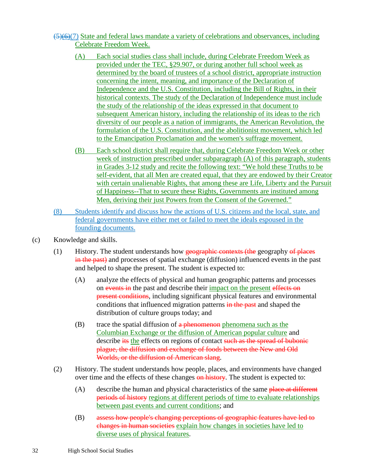- $\left(\frac{5}{6}\right)$ (7) State and federal laws mandate a variety of celebrations and observances, including Celebrate Freedom Week.
	- (A) Each social studies class shall include, during Celebrate Freedom Week as provided under the TEC, §29.907, or during another full school week as determined by the board of trustees of a school district, appropriate instruction concerning the intent, meaning, and importance of the Declaration of Independence and the U.S. Constitution, including the Bill of Rights, in their historical contexts. The study of the Declaration of Independence must include the study of the relationship of the ideas expressed in that document to subsequent American history, including the relationship of its ideas to the rich diversity of our people as a nation of immigrants, the American Revolution, the formulation of the U.S. Constitution, and the abolitionist movement, which led to the Emancipation Proclamation and the women's suffrage movement.
	- (B) Each school district shall require that, during Celebrate Freedom Week or other week of instruction prescribed under subparagraph (A) of this paragraph, students in Grades 3-12 study and recite the following text: "We hold these Truths to be self-evident, that all Men are created equal, that they are endowed by their Creator with certain unalienable Rights, that among these are Life, Liberty and the Pursuit of Happiness--That to secure these Rights, Governments are instituted among Men, deriving their just Powers from the Consent of the Governed."
- (8) Students identify and discuss how the actions of U.S. citizens and the local, state, and federal governments have either met or failed to meet the ideals espoused in the founding documents.
- (c) Knowledge and skills.
	- $(1)$  History. The student understands how geographic contexts (the geography of places in the past) and processes of spatial exchange (diffusion) influenced events in the past and helped to shape the present. The student is expected to:
		- (A) analyze the effects of physical and human geographic patterns and processes on events in the past and describe their impact on the present effects on present conditions, including significant physical features and environmental conditions that influenced migration patterns in the past and shaped the distribution of culture groups today; and
		- (B) trace the spatial diffusion of  $a$  phenomenon phenomena such as the Columbian Exchange or the diffusion of American popular culture and describe its the effects on regions of contact such as the spread of bubonic plague, the diffusion and exchange of foods between the New and Old Worlds, or the diffusion of American slang.
	- (2) History. The student understands how people, places, and environments have changed over time and the effects of these changes on history. The student is expected to:
		- $(A)$  describe the human and physical characteristics of the same place at different periods of history regions at different periods of time to evaluate relationships between past events and current conditions; and
		- (B) assess how people's changing perceptions of geographic features have led to changes in human societies explain how changes in societies have led to diverse uses of physical features.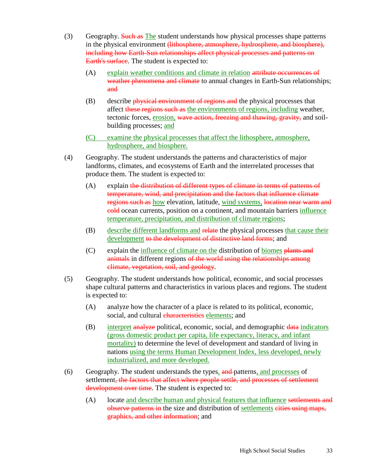- (3) Geography. Such as The student understands how physical processes shape patterns in the physical environment <del>(lithosphere, atmosphere, hydrosphere, and biosphere),</del> including how Earth-Sun relationships affect physical processes and patterns on Earth's surface. The student is expected to:
	- (A) explain weather conditions and climate in relation attribute occurrences of weather phenomena and climate to annual changes in Earth-Sun relationships; and
	- (B) describe *physical environment of regions and the physical processes that* affect these regions such as the environments of regions, including weather, tectonic forces, erosion, wave action, freezing and thawing, gravity, and soilbuilding processes; and
	- (C) examine the physical processes that affect the lithosphere, atmosphere, hydrosphere, and biosphere.
- (4) Geography. The student understands the patterns and characteristics of major landforms, climates, and ecosystems of Earth and the interrelated processes that produce them. The student is expected to:
	- (A) explain the distribution of different types of climate in terms of patterns of temperature, wind, and precipitation and the factors that influence climate regions such as how elevation, latitude, wind systems, location near warm and cold ocean currents, position on a continent, and mountain barriers influence temperature, precipitation, and distribution of climate regions;
	- (B) describe different landforms and relate the physical processes that cause their development to the development of distinctive land forms; and
	- (C) explain the influence of climate on the distribution of biomes plants and animals in different regions of the world using the relationships among climate, vegetation, soil, and geology.
- (5) Geography. The student understands how political, economic, and social processes shape cultural patterns and characteristics in various places and regions. The student is expected to:
	- (A) analyze how the character of a place is related to its political, economic, social, and cultural characteristics elements; and
	- (B) interpret analyze political, economic, social, and demographic data indicators (gross domestic product per capita, life expectancy, literacy, and infant mortality) to determine the level of development and standard of living in nations using the terms Human Development Index, less developed, newly industrialized, and more developed.
- (6) Geography. The student understands the types, and patterns, and processes of settlement, the factors that affect where people settle, and processes of settlement development over time. The student is expected to:
	- (A) locate and describe human and physical features that influence settlements and observe patterns in the size and distribution of settlements eities using maps, graphics, and other information; and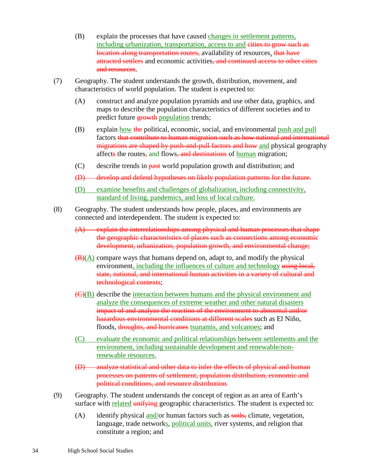- (B) explain the processes that have caused changes in settlement patterns, including urbanization, transportation, access to and eities to grow such as location along transportation routes, availability of resources, that have attracted settlers and economic activities, and continued access to other cities and resources.
- (7) Geography. The student understands the growth, distribution, movement, and characteristics of world population. The student is expected to:
	- (A) construct and analyze population pyramids and use other data, graphics, and maps to describe the population characteristics of different societies and to predict future **growth** population trends;
	- (B) explain how the political, economic, social, and environmental push and pull factors that contribute to human migration such as how national and international migrations are shaped by push-and-pull factors and how and physical geography affects the routes, and flows, and destinations of human migration;
	- (C) describe trends in past world population growth and distribution; and
	- (D) develop and defend hypotheses on likely population patterns for the future.
	- (D) examine benefits and challenges of globalization, including connectivity, standard of living, pandemics, and loss of local culture.
- (8) Geography. The student understands how people, places, and environments are connected and interdependent. The student is expected to:
	- (A) explain the interrelationships among physical and human processes that shape the geographic characteristics of places such as connections among economic development, urbanization, population growth, and environmental change;
	- $(\mathbf{B})(\mathbf{A})$  compare ways that humans depend on, adapt to, and modify the physical environment, including the influences of culture and technology using local, state, national, and international human activities in a variety of cultural and technological contexts;
	- (C)(B) describe the interaction between humans and the physical environment and analyze the consequences of extreme weather and other natural disasters impact of and analyze the reaction of the environment to abnormal and/or hazardous environmental conditions at different scales such as El Niño, floods, droughts, and hurricanes tsunamis, and volcanoes; and
	- (C) evaluate the economic and political relationships between settlements and the environment, including sustainable development and renewable/nonrenewable resources.
	- (D) analyze statistical and other data to infer the effects of physical and human processes on patterns of settlement, population distribution, economic and political conditions, and resource distribution.
- (9) Geography. The student understands the concept of region as an area of Earth's surface with related unifying geographic characteristics. The student is expected to:
	- (A) identify physical and/or human factors such as  $s$ oils, climate, vegetation, language, trade networks, political units, river systems, and religion that constitute a region; and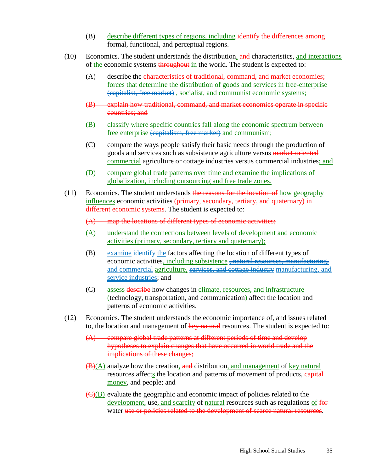- (B) describe different types of regions, including identify the differences among formal, functional, and perceptual regions.
- (10) Economics. The student understands the distribution, and characteristics, and interactions of the economic systems throughout in the world. The student is expected to:
	- (A) describe the characteristics of traditional, command, and market economies; forces that determine the distribution of goods and services in free-enterprise (capitalist, free market) , socialist, and communist economic systems;
	- (B) explain how traditional, command, and market economies operate in specific countries; and
	- (B) classify where specific countries fall along the economic spectrum between free enterprise (capitalism, free market) and communism;
	- (C) compare the ways people satisfy their basic needs through the production of goods and services such as subsistence agriculture versus market-oriented commercial agriculture or cottage industries versus commercial industries; and
	- (D) compare global trade patterns over time and examine the implications of globalization, including outsourcing and free trade zones.
- (11) Economics. The student understands the reasons for the location of how geography influences economic activities (primary, secondary, tertiary, and quaternary) in different economic systems. The student is expected to:
	- (A) map the locations of different types of economic activities;
	- (A) understand the connections between levels of development and economic activities (primary, secondary, tertiary and quaternary);
	- (B) examine identify the factors affecting the location of different types of economic activities, including subsistence <del>, natural re</del> and commercial agriculture, services, and cottage industry manufacturing, and service industries; and
	- (C) assess describe how changes in climate, resources, and infrastructure (technology, transportation, and communication) affect the location and patterns of economic activities.
- (12) Economics. The student understands the economic importance of, and issues related to, the location and management of key natural resources. The student is expected to:
	- (A) compare global trade patterns at different periods of time and develop hypotheses to explain changes that have occurred in world trade and the implications of these changes;
	- $(\mathbf{B})(\mathbf{A})$  analyze how the creation, and distribution, and management of key natural resources affects the location and patterns of movement of products, eapital money, and people; and
	- (C)(B) evaluate the geographic and economic impact of policies related to the development, use, and scarcity of natural resources such as regulations of for water use or policies related to the development of scarce natural resources.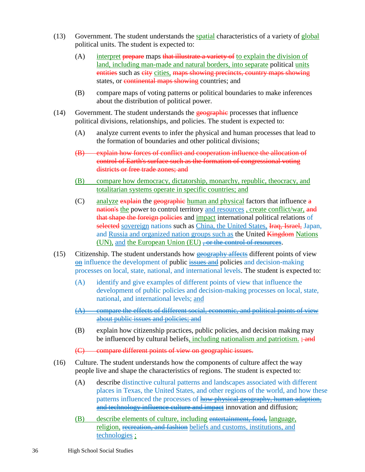- (13) Government. The student understands the spatial characteristics of a variety of global political units. The student is expected to:
	- (A) interpret prepare maps that illustrate a variety of to explain the division of land, including man-made and natural borders, into separate political units entities such as eity cities, maps showing precincts, country maps showing states, or continental maps showing countries; and
	- (B) compare maps of voting patterns or political boundaries to make inferences about the distribution of political power.
- $(14)$  Government. The student understands the geographic processes that influence political divisions, relationships, and policies. The student is expected to:
	- (A) analyze current events to infer the physical and human processes that lead to the formation of boundaries and other political divisions;
	- (B) explain how forces of conflict and cooperation influence the allocation of control of Earth's surface such as the formation of congressional voting districts or free trade zones; and
	- (B) compare how democracy, dictatorship, monarchy, republic, theocracy, and totalitarian systems operate in specific countries; and
	- (C) analyze  $\frac{exp{4\pi}}{n}$  the geographic human and physical factors that influence  $\frac{a}{n}$ nation's the power to control territory and resources, create conflict/war, and that shape the foreign policies and impact international political relations of selected sovereign nations such as China, the United States, Iraq, Israel, Japan, and Russia and organized nation groups such as the United Kingdom Nations (UN), and the European Union (EU)  $\div$  or the control of resources.
- (15) Citizenship. The student understands how geography affects different points of view on influence the development of public issues and policies and decision-making processes on local, state, national, and international levels. The student is expected to:
	- (A) identify and give examples of different points of view that influence the development of public policies and decision-making processes on local, state, national, and international levels; and
	- (A) compare the effects of different social, economic, and political points of view about public issues and policies; and
	- (B) explain how citizenship practices, public policies, and decision making may be influenced by cultural beliefs, including nationalism and patriotism.  $\div$  and

(C) compare different points of view on geographic issues.

- (16) Culture. The student understands how the components of culture affect the way people live and shape the characteristics of regions. The student is expected to:
	- (A) describe distinctive cultural patterns and landscapes associated with different places in Texas, the United States, and other regions of the world, and how these patterns influenced the processes of how physical geography, human adaption, and technology influence culture and impact innovation and diffusion;
	- (B) describe elements of culture, including entertainment, food, language, religion, recreation, and fashion beliefs and customs, institutions, and technologies ;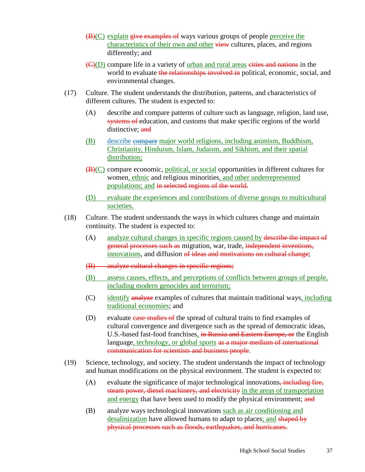- $(\mathbf{B})(C)$  explain give examples of ways various groups of people perceive the characteristics of their own and other view cultures, places, and regions differently; and
- (C)(D) compare life in a variety of urban and rural areas cities and nations in the world to evaluate the relationships involved in political, economic, social, and environmental changes.
- (17) Culture. The student understands the distribution, patterns, and characteristics of different cultures. The student is expected to:
	- (A) describe and compare patterns of culture such as language, religion, land use, systems of education, and customs that make specific regions of the world distinctive: and
	- (B) describe compare major world religions, including animism, Buddhism, Christianity, Hinduism, Islam, Judaism, and Sikhism, and their spatial distribution;
	- (B)(C) compare economic, political, or social opportunities in different cultures for women, ethnic and religious minorities, and other underrepresented populations; and in selected regions of the world.
	- (D) evaluate the experiences and contributions of diverse groups to multicultural societies.
- (18) Culture. The student understands the ways in which cultures change and maintain continuity. The student is expected to:
	- (A) analyze cultural changes in specific regions caused by describe the impact of general processes such as migration, war, trade, independent inventions, innovations, and diffusion of ideas and motivations on cultural change;
	- (B) analyze cultural changes in specific regions;
	- (B) assess causes, effects, and perceptions of conflicts between groups of people, including modern genocides and terrorism;
	- (C) identify analyze examples of cultures that maintain traditional ways, including traditional economies; and
	- (D) evaluate case studies of the spread of cultural traits to find examples of cultural convergence and divergence such as the spread of democratic ideas, U.S.-based fast-food franchises, in Russia and Eastern Europe, or the English language, technology, or global sports as a major medium of international communication for scientists and business people.
- (19) Science, technology, and society. The student understands the impact of technology and human modifications on the physical environment. The student is expected to:
	- $(A)$  evaluate the significance of major technological innovations, including fire, steam power, diesel machinery, and electricity in the areas of transportation and energy that have been used to modify the physical environment; and
	- (B) analyze ways technological innovations such as air conditioning and desalinization have allowed humans to adapt to places; and shaped by physical processes such as floods, earthquakes, and hurricanes.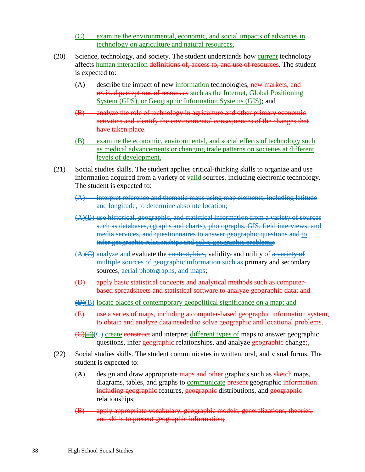- (C) examine the environmental, economic, and social impacts of advances in technology on agriculture and natural resources.
- (20) Science, technology, and society. The student understands how current technology affects human interaction definitions of, access to, and use of resources. The student is expected to:
	- $(A)$  describe the impact of new information technologies, new markets, and revised perceptions of resources such as the Internet, Global Positioning System (GPS), or Geographic Information Systems (GIS); and
	- (B) analyze the role of technology in agriculture and other primary economic activities and identify the environmental consequences of the changes that have taken place.
	- (B) examine the economic, environmental, and social effects of technology such as medical advancements or changing trade patterns on societies at different levels of development.
- (21) Social studies skills. The student applies critical-thinking skills to organize and use information acquired from a variety of valid sources, including electronic technology. The student is expected to:
	- $(A)$  interpret reference and thematic maps using map elements, including latitude and longitude, to determine absolute location;
	- (A)(B) use historical, geographic, and statistical information from a variety of sources such as databases, (graphs and charts), photographs, GIS, field interviews, and media services, and questionnaires to answer geographic questions and to infer geographic relationships and solve geographic problems;
	- $(A)(\n\leftrightarrow$  analyze and evaluate the context, bias, validity, and utility of a variety of multiple sources of geographic information such as primary and secondary sources, aerial photographs, and maps;
	- (D) apply basic statistical concepts and analytical methods such as computerbased spreadsheets and statistical software to analyze geographic data; and
	- $\left(\frac{D}{B}\right)$  locate places of contemporary geopolitical significance on a map; and
	- (E) use a series of maps, including a computer-based geographic information system, to obtain and analyze data needed to solve geographic and locational problems.
	- (C)(E)(C) create construct and interpret different types of maps to answer geographic questions, infer geographic relationships, and analyze geographic change;
- (22) Social studies skills. The student communicates in written, oral, and visual forms. The student is expected to:
	- $(A)$  design and draw appropriate maps and other graphics such as sketch maps, diagrams, tables, and graphs to **communicate** present geographic information including geographic features, geographic distributions, and geographic relationships;
	- (B) apply appropriate vocabulary, geographic models, generalizations, theories, and skills to present geographic information;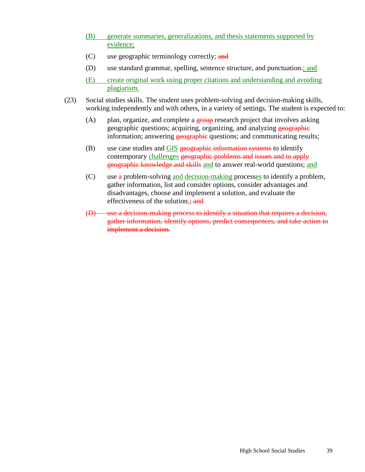- (B) generate summaries, generalizations, and thesis statements supported by evidence;
- (C) use geographic terminology correctly; and
- (D) use standard grammar, spelling, sentence structure, and punctuation-; and
- (E) create original work using proper citations and understanding and avoiding plagiarism.
- (23) Social studies skills. The student uses problem-solving and decision-making skills, working independently and with others, in a variety of settings. The student is expected to:
	- (A) plan, organize, and complete a  $\frac{1}{2}$  research project that involves asking geographic questions; acquiring, organizing, and analyzing geographic information; answering **geographic** questions; and communicating results;
	- $(B)$  use case studies and GIS geographic information systems to identify contemporary challenges geographic problems and issues and to apply geographic knowledge and skills and to answer real-world questions; and
	- (C) use  $\alpha$  problem-solving and decision-making processes to identify a problem, gather information, list and consider options, consider advantages and disadvantages, choose and implement a solution, and evaluate the effectiveness of the solution.; and
	- (D) use a decision-making process to identify a situation that requires a decision, gather information, identify options, predict consequences, and take action to implement a decision.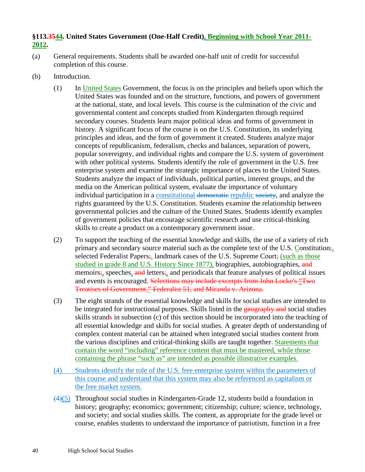## **§113.3544. United States Government (One-Half Credit), Beginning with School Year 2011- 2012.**

- (a) General requirements. Students shall be awarded one-half unit of credit for successful completion of this course.
- (b) Introduction.
	- (1) In United States Government, the focus is on the principles and beliefs upon which the United States was founded and on the structure, functions, and powers of government at the national, state, and local levels. This course is the culmination of the civic and governmental content and concepts studied from Kindergarten through required secondary courses. Students learn major political ideas and forms of government in history. A significant focus of the course is on the U.S. Constitution, its underlying principles and ideas, and the form of government it created. Students analyze major concepts of republicanism, federalism, checks and balances, separation of powers, popular sovereignty, and individual rights and compare the U.S. system of government with other political systems. Students identify the role of government in the U.S. free enterprise system and examine the strategic importance of places to the United States. Students analyze the impact of individuals, political parties, interest groups, and the media on the American political system, evaluate the importance of voluntary individual participation in a constitutional democratic republic society, and analyze the rights guaranteed by the U.S. Constitution. Students examine the relationship between governmental policies and the culture of the United States. Students identify examples of government policies that encourage scientific research and use critical-thinking skills to create a product on a contemporary government issue.
	- (2) To support the teaching of the essential knowledge and skills, the use of a variety of rich primary and secondary source material such as the complete text of the U.S. Constitution;, selected Federalist Papers<sub>;</sub>, landmark cases of the U.S. Supreme Court; (such as those studied in grade 8 and U.S. History Since 1877), biographies, autobiographies, and memoirs; speeches, and letters; and periodicals that feature analyses of political issues and events is encouraged. Selections may include excerpts from John Locke's "Two Treatises of Government," Federalist 51, and Miranda v. Arizona.
	- (3) The eight strands of the essential knowledge and skills for social studies are intended to be integrated for instructional purposes. Skills listed in the geography and social studies skills strands in subsection (c) of this section should be incorporated into the teaching of all essential knowledge and skills for social studies. A greater depth of understanding of complex content material can be attained when integrated social studies content from the various disciplines and critical-thinking skills are taught together. Statements that contain the word "including" reference content that must be mastered, while those containing the phrase "such as" are intended as possible illustrative examples.
	- (4) Students identify the role of the U.S. free enterprise system within the parameters of this course and understand that this system may also be referenced as capitalism or the free market system.
	- $(4)(5)$  Throughout social studies in Kindergarten-Grade 12, students build a foundation in history; geography; economics; government; citizenship; culture; science, technology, and society; and social studies skills. The content, as appropriate for the grade level or course, enables students to understand the importance of patriotism, function in a free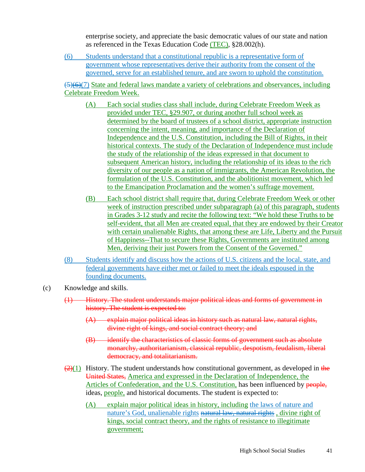enterprise society, and appreciate the basic democratic values of our state and nation as referenced in the Texas Education Code (TEC), §28.002(h).

(6) Students understand that a constitutional republic is a representative form of government whose representatives derive their authority from the consent of the governed, serve for an established tenure, and are sworn to uphold the constitution.

 $\left(\frac{5}{6}\right)$ (7) State and federal laws mandate a variety of celebrations and observances, including Celebrate Freedom Week.

- (A) Each social studies class shall include, during Celebrate Freedom Week as provided under TEC, §29.907, or during another full school week as determined by the board of trustees of a school district, appropriate instruction concerning the intent, meaning, and importance of the Declaration of Independence and the U.S. Constitution, including the Bill of Rights, in their historical contexts. The study of the Declaration of Independence must include the study of the relationship of the ideas expressed in that document to subsequent American history, including the relationship of its ideas to the rich diversity of our people as a nation of immigrants, the American Revolution, the formulation of the U.S. Constitution, and the abolitionist movement, which led to the Emancipation Proclamation and the women's suffrage movement.
- (B) Each school district shall require that, during Celebrate Freedom Week or other week of instruction prescribed under subparagraph (a) of this paragraph, students in Grades 3-12 study and recite the following text: "We hold these Truths to be self-evident, that all Men are created equal, that they are endowed by their Creator with certain unalienable Rights, that among these are Life, Liberty and the Pursuit of Happiness--That to secure these Rights, Governments are instituted among Men, deriving their just Powers from the Consent of the Governed."
- (8) Students identify and discuss how the actions of U.S. citizens and the local, state, and federal governments have either met or failed to meet the ideals espoused in the founding documents.

#### (c) Knowledge and skills.

- (1) History. The student understands major political ideas and forms of government in history. The student is expected to:
	- (A) explain major political ideas in history such as natural law, natural rights, divine right of kings, and social contract theory; and
	- (B) identify the characteristics of classic forms of government such as absolute monarchy, authoritarianism, classical republic, despotism, feudalism, liberal democracy, and totalitarianism.
- $(2)(1)$  History. The student understands how constitutional government, as developed in the United States, America and expressed in the Declaration of Independence, the Articles of Confederation, and the U.S. Constitution, has been influenced by people, ideas, people, and historical documents. The student is expected to:
	- (A) explain major political ideas in history, including the laws of nature and nature's God, unalienable rights natural law, natural rights, divine right of kings, social contract theory, and the rights of resistance to illegitimate government;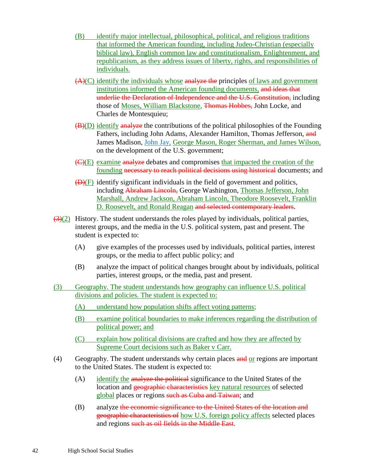- (B) identify major intellectual, philosophical, political, and religious traditions that informed the American founding, including Judeo-Christian (especially biblical law), English common law and constitutionalism, Enlightenment, and republicanism, as they address issues of liberty, rights, and responsibilities of individuals.
- $(A)(C)$  identify the individuals whose analyze the principles of laws and government institutions informed the American founding documents, and ideas that underlie the Declaration of Independence and the U.S. Constitution, including those of Moses, William Blackstone, Thomas Hobbes, John Locke, and Charles de Montesquieu;
- $(B)(D)$  identify analyze the contributions of the political philosophies of the Founding Fathers, including John Adams, Alexander Hamilton, Thomas Jefferson, and James Madison, John Jay, George Mason, Roger Sherman, and James Wilson, on the development of the U.S. government;
- (C)(E) examine analyze debates and compromises that impacted the creation of the founding necessary to reach political decisions using historical documents; and
- $(\overline{D})(F)$  identify significant individuals in the field of government and politics, including Abraham Lincoln, George Washington, Thomas Jefferson, John Marshall, Andrew Jackson, Abraham Lincoln, Theodore Roosevelt, Franklin D. Roosevelt, and Ronald Reagan and selected contemporary leaders.
- $(3)(2)$  History. The student understands the roles played by individuals, political parties, interest groups, and the media in the U.S. political system, past and present. The student is expected to:
	- (A) give examples of the processes used by individuals, political parties, interest groups, or the media to affect public policy; and
	- (B) analyze the impact of political changes brought about by individuals, political parties, interest groups, or the media, past and present.
- (3) Geography. The student understands how geography can influence U.S. political divisions and policies. The student is expected to:
	- (A) understand how population shifts affect voting patterns;
	- (B) examine political boundaries to make inferences regarding the distribution of political power; and
	- (C) explain how political divisions are crafted and how they are affected by Supreme Court decisions such as Baker v Carr.
- (4) Geography. The student understands why certain places  $\frac{and}{or}$  regions are important to the United States. The student is expected to:
	- (A) identify the analyze the political significance to the United States of the location and geographic characteristics key natural resources of selected global places or regions such as Cuba and Taiwan; and
	- (B) analyze the economic significance to the United States of the location and geographic characteristics of how U.S. foreign policy affects selected places and regions such as oil fields in the Middle East.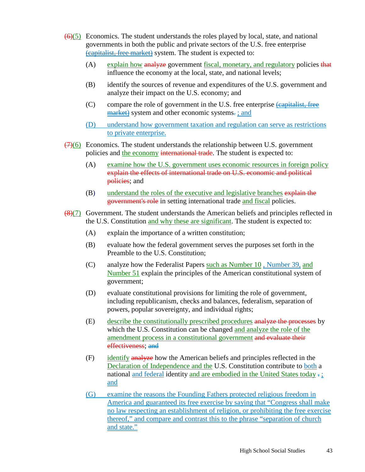- $\left(\frac{6}{6}\right)$  Economics. The student understands the roles played by local, state, and national governments in both the public and private sectors of the U.S. free enterprise (capitalist, free market) system. The student is expected to:
	- (A) explain how analyze government fiscal, monetary, and regulatory policies that influence the economy at the local, state, and national levels;
	- (B) identify the sources of revenue and expenditures of the U.S. government and analyze their impact on the U.S. economy; and
	- (C) compare the role of government in the U.S. free enterprise (capitalist, free market) system and other economic systems.; and
	- (D) understand how government taxation and regulation can serve as restrictions to private enterprise.
- $(7)(6)$  Economics. The student understands the relationship between U.S. government policies and the economy international trade. The student is expected to:
	- (A) examine how the U.S. government uses economic resources in foreign policy explain the effects of international trade on U.S. economic and political **policies**; and
	- (B) understand the roles of the executive and legislative branches explain the government's role in setting international trade and fiscal policies.
- $\left(\frac{8}{7}\right)$  Government. The student understands the American beliefs and principles reflected in the U.S. Constitution and why these are significant. The student is expected to:
	- (A) explain the importance of a written constitution;
	- (B) evaluate how the federal government serves the purposes set forth in the Preamble to the U.S. Constitution;
	- (C) analyze how the Federalist Papers such as Number 10 , Number 39, and Number 51 explain the principles of the American constitutional system of government;
	- (D) evaluate constitutional provisions for limiting the role of government, including republicanism, checks and balances, federalism, separation of powers, popular sovereignty, and individual rights;
	- (E) describe the constitutionally prescribed procedures analyze the processes by which the U.S. Constitution can be changed and analyze the role of the amendment process in a constitutional government and evaluate their effectiveness; and
	- (F) identify analyze how the American beliefs and principles reflected in the Declaration of Independence and the U.S. Constitution contribute to both a national and federal identity and are embodied in the United States today  $\overline{\cdot}$ : and
	- (G) examine the reasons the Founding Fathers protected religious freedom in America and guaranteed its free exercise by saying that "Congress shall make no law respecting an establishment of religion, or prohibiting the free exercise thereof," and compare and contrast this to the phrase "separation of church and state."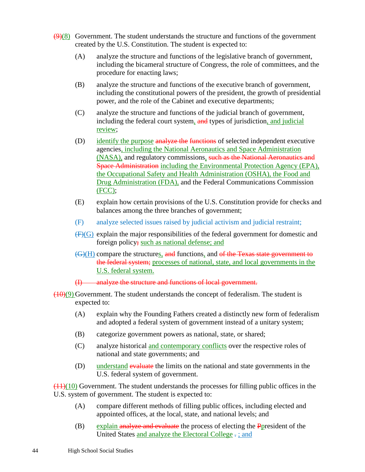- $(9)$ (8) Government. The student understands the structure and functions of the government created by the U.S. Constitution. The student is expected to:
	- (A) analyze the structure and functions of the legislative branch of government, including the bicameral structure of Congress, the role of committees, and the procedure for enacting laws;
	- (B) analyze the structure and functions of the executive branch of government, including the constitutional powers of the president, the growth of presidential power, and the role of the Cabinet and executive departments;
	- (C) analyze the structure and functions of the judicial branch of government, including the federal court system, and types of jurisdiction, and judicial review;
	- (D) identify the purpose analyze the functions of selected independent executive agencies, including the National Aeronautics and Space Administration (NASA), and regulatory commissions, such as the National Aeronautics and Space Administration including the Environmental Protection Agency (EPA), the Occupational Safety and Health Administration (OSHA), the Food and Drug Administration (FDA), and the Federal Communications Commission (FCC);
	- (E) explain how certain provisions of the U.S. Constitution provide for checks and balances among the three branches of government;
	- (F) analyze selected issues raised by judicial activism and judicial restraint;
	- $(F)(G)$  explain the major responsibilities of the federal government for domestic and foreign policy; such as national defense; and
	- $(\mathcal{G})(H)$  compare the structures, and functions, and of the Texas state government to the federal system; processes of national, state, and local governments in the U.S. federal system.
	- (I) analyze the structure and functions of local government.
- $(10)(9)$  Government. The student understands the concept of federalism. The student is expected to:
	- (A) explain why the Founding Fathers created a distinctly new form of federalism and adopted a federal system of government instead of a unitary system;
	- (B) categorize government powers as national, state, or shared;
	- (C) analyze historical and contemporary conflicts over the respective roles of national and state governments; and
	- (D) understand evaluate the limits on the national and state governments in the U.S. federal system of government.

 $\left(\frac{(11)(10)}{(11)(10)}\right)$  Government. The student understands the processes for filling public offices in the U.S. system of government. The student is expected to:

- (A) compare different methods of filling public offices, including elected and appointed offices, at the local, state, and national levels; and
- (B) explain analyze and evaluate the process of electing the **P**president of the United States and analyze the Electoral College . ; and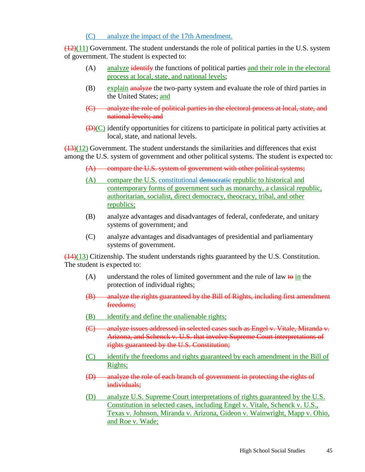### (C) analyze the impact of the 17th Amendment.

 $(12)(11)$  Government. The student understands the role of political parties in the U.S. system of government. The student is expected to:

- (A) analyze identify the functions of political parties and their role in the electoral process at local, state, and national levels;
- (B) explain analyze the two-party system and evaluate the role of third parties in the United States; and
- (C) analyze the role of political parties in the electoral process at local, state, and national levels; and
- $(\overline{D})(C)$  identify opportunities for citizens to participate in political party activities at local, state, and national levels.

 $(13)(12)$  Government. The student understands the similarities and differences that exist among the U.S. system of government and other political systems. The student is expected to:

- (A) compare the U.S. system of government with other political systems;
- (A) compare the U.S. constitutional democratic republic to historical and contemporary forms of government such as monarchy, a classical republic, authoritarian, socialist, direct democracy, theocracy, tribal, and other republics;
- (B) analyze advantages and disadvantages of federal, confederate, and unitary systems of government; and
- (C) analyze advantages and disadvantages of presidential and parliamentary systems of government.

(14)(13) Citizenship. The student understands rights guaranteed by the U.S. Constitution. The student is expected to:

- (A) understand the roles of limited government and the rule of law to in the protection of individual rights;
- (B) analyze the rights guaranteed by the Bill of Rights, including first amendment freedoms;
- (B) identify and define the unalienable rights;
- (C) analyze issues addressed in selected cases such as Engel v. Vitale, Miranda v. Arizona, and Schenck v. U.S. that involve Supreme Court interpretations of rights guaranteed by the U.S. Constitution;
- (C) identify the freedoms and rights guaranteed by each amendment in the Bill of Rights;
- (D) analyze the role of each branch of government in protecting the rights of individuals;
- (D) analyze U.S. Supreme Court interpretations of rights guaranteed by the U.S. Constitution in selected cases, including Engel v. Vitale, Schenck v. U.S., Texas v. Johnson, Miranda v. Arizona, Gideon v. Wainwright, Mapp v. Ohio, and Roe v. Wade;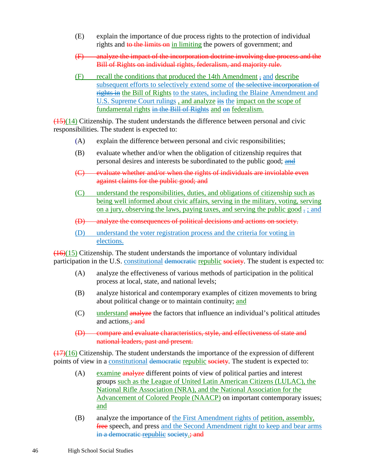- (E) explain the importance of due process rights to the protection of individual rights and to the limits on in limiting the powers of government; and
- (F) analyze the impact of the incorporation doctrine involving due process and the Bill of Rights on individual rights, federalism, and majority rule.
- (F) recall the conditions that produced the 14th Amendment , and describe subsequent efforts to selectively extend some of the selective incorporation of rights in the Bill of Rights to the states, including the Blaine Amendment and U.S. Supreme Court rulings, and analyze its the impact on the scope of fundamental rights in the Bill of Rights and on federalism.

 $\left(\frac{(15)(14)}{(15)(14)}\right)$  Citizenship. The student understands the difference between personal and civic responsibilities. The student is expected to:

- (A) explain the difference between personal and civic responsibilities;
- (B) evaluate whether and/or when the obligation of citizenship requires that personal desires and interests be subordinated to the public good; and
- (C) evaluate whether and/or when the rights of individuals are inviolable even against claims for the public good; and
- (C) understand the responsibilities, duties, and obligations of citizenship such as being well informed about civic affairs, serving in the military, voting, serving on a jury, observing the laws, paying taxes, and serving the public good  $\frac{1}{x}$ ; and
- (D) analyze the consequences of political decisions and actions on society.
- (D) understand the voter registration process and the criteria for voting in elections.

 $(16)(15)$  Citizenship. The student understands the importance of voluntary individual participation in the U.S. constitutional democratic republic society. The student is expected to:

- (A) analyze the effectiveness of various methods of participation in the political process at local, state, and national levels;
- (B) analyze historical and contemporary examples of citizen movements to bring about political change or to maintain continuity; and
- (C) understand analyze the factors that influence an individual's political attitudes and actions.; and
- (D) compare and evaluate characteristics, style, and effectiveness of state and national leaders, past and present.

 $\left(\frac{17}{16}\right)$  Citizenship. The student understands the importance of the expression of different points of view in a constitutional democratic republic society. The student is expected to:

- (A) examine analyze different points of view of political parties and interest groups such as the League of United Latin American Citizens (LULAC), the National Rifle Association (NRA), and the National Association for the Advancement of Colored People (NAACP) on important contemporary issues; and
- (B) analyze the importance of the First Amendment rights of petition, assembly, free speech, and press and the Second Amendment right to keep and bear arms in a democratic republic society.; and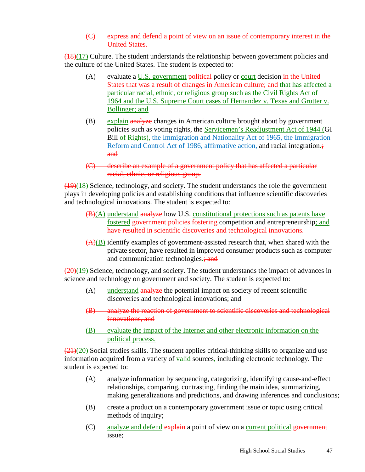#### (C) express and defend a point of view on an issue of contemporary interest in the United States.

 $(18)(17)$  Culture. The student understands the relationship between government policies and the culture of the United States. The student is expected to:

- (A) evaluate a U.S. government political policy or court decision in the United States that was a result of changes in American culture; and that has affected a particular racial, ethnic, or religious group such as the Civil Rights Act of 1964 and the U.S. Supreme Court cases of Hernandez v. Texas and Grutter v. Bollinger; and
- (B) explain analyze changes in American culture brought about by government policies such as voting rights, the Servicemen's Readjustment Act of 1944 (GI Bill of Rights), the Immigration and Nationality Act of 1965, the Immigration Reform and Control Act of 1986, affirmative action, and racial integration.; and
- (C) describe an example of a government policy that has affected a particular racial, ethnic, or religious group.

 $(19)(18)$  Science, technology, and society. The student understands the role the government plays in developing policies and establishing conditions that influence scientific discoveries and technological innovations. The student is expected to:

- (B)(A) understand analyze how U.S. constitutional protections such as patents have fostered government policies fostering competition and entrepreneurship; and have resulted in scientific discoveries and technological innovations.
- (A)(B) identify examples of government-assisted research that, when shared with the private sector, have resulted in improved consumer products such as computer and communication technologies.; and

 $(20)(19)$  Science, technology, and society. The student understands the impact of advances in science and technology on government and society. The student is expected to:

- (A) understand analyze the potential impact on society of recent scientific discoveries and technological innovations; and
- (B) analyze the reaction of government to scientific discoveries and technological innovations, and
- (B) evaluate the impact of the Internet and other electronic information on the political process.

 $\left(\frac{21}{20}\right)$  Social studies skills. The student applies critical-thinking skills to organize and use information acquired from a variety of valid sources, including electronic technology. The student is expected to:

- (A) analyze information by sequencing, categorizing, identifying cause-and-effect relationships, comparing, contrasting, finding the main idea, summarizing, making generalizations and predictions, and drawing inferences and conclusions;
- (B) create a product on a contemporary government issue or topic using critical methods of inquiry;
- (C) analyze and defend explain a point of view on a current political government issue;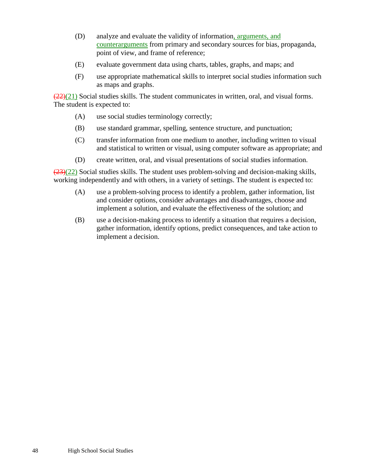- (D) analyze and evaluate the validity of information, arguments, and counterarguments from primary and secondary sources for bias, propaganda, point of view, and frame of reference;
- (E) evaluate government data using charts, tables, graphs, and maps; and
- (F) use appropriate mathematical skills to interpret social studies information such as maps and graphs.

 $(22)(21)$  Social studies skills. The student communicates in written, oral, and visual forms. The student is expected to:

- (A) use social studies terminology correctly;
- (B) use standard grammar, spelling, sentence structure, and punctuation;
- (C) transfer information from one medium to another, including written to visual and statistical to written or visual, using computer software as appropriate; and
- (D) create written, oral, and visual presentations of social studies information.

 $(23)(22)$  Social studies skills. The student uses problem-solving and decision-making skills, working independently and with others, in a variety of settings. The student is expected to:

- (A) use a problem-solving process to identify a problem, gather information, list and consider options, consider advantages and disadvantages, choose and implement a solution, and evaluate the effectiveness of the solution; and
- (B) use a decision-making process to identify a situation that requires a decision, gather information, identify options, predict consequences, and take action to implement a decision.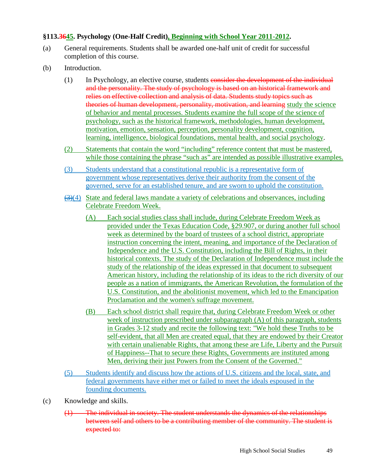### **§113.3645. Psychology (One-Half Credit), Beginning with School Year 2011-2012.**

- (a) General requirements. Students shall be awarded one-half unit of credit for successful completion of this course.
- (b) Introduction.
	- $(1)$  In Psychology, an elective course, students consider the development of the individual and the personality. The study of psychology is based on an historical framework and relies on effective collection and analysis of data. Students study topics such as theories of human development, personality, motivation, and learning study the science of behavior and mental processes. Students examine the full scope of the science of psychology, such as the historical framework, methodologies, human development, motivation, emotion, sensation, perception, personality development, cognition, learning, intelligence, biological foundations, mental health, and social psychology.
	- (2) Statements that contain the word "including" reference content that must be mastered, while those containing the phrase "such as" are intended as possible illustrative examples.
	- (3) Students understand that a constitutional republic is a representative form of government whose representatives derive their authority from the consent of the governed, serve for an established tenure, and are sworn to uphold the constitution.
	- $(3)(4)$  State and federal laws mandate a variety of celebrations and observances, including Celebrate Freedom Week.
		- (A) Each social studies class shall include, during Celebrate Freedom Week as provided under the Texas Education Code, §29.907, or during another full school week as determined by the board of trustees of a school district, appropriate instruction concerning the intent, meaning, and importance of the Declaration of Independence and the U.S. Constitution, including the Bill of Rights, in their historical contexts. The study of the Declaration of Independence must include the study of the relationship of the ideas expressed in that document to subsequent American history, including the relationship of its ideas to the rich diversity of our people as a nation of immigrants, the American Revolution, the formulation of the U.S. Constitution, and the abolitionist movement, which led to the Emancipation Proclamation and the women's suffrage movement.
		- (B) Each school district shall require that, during Celebrate Freedom Week or other week of instruction prescribed under subparagraph (A) of this paragraph, students in Grades 3-12 study and recite the following text: "We hold these Truths to be self-evident, that all Men are created equal, that they are endowed by their Creator with certain unalienable Rights, that among these are Life, Liberty and the Pursuit of Happiness--That to secure these Rights, Governments are instituted among Men, deriving their just Powers from the Consent of the Governed."
	- (5) Students identify and discuss how the actions of U.S. citizens and the local, state, and federal governments have either met or failed to meet the ideals espoused in the founding documents.
- (c) Knowledge and skills.
	- (1) The individual in society. The student understands the dynamics of the relationships between self and others to be a contributing member of the community. The student is expected to: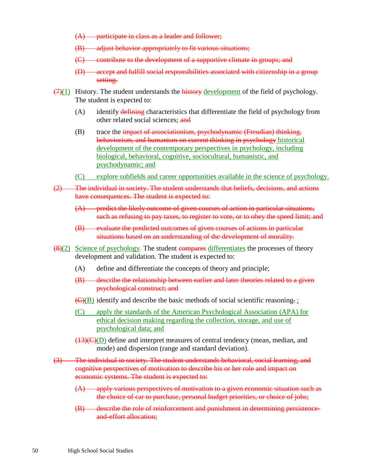- (A) participate in class as a leader and follower;
- (B) adjust behavior appropriately to fit various situations;
- (C) contribute to the development of a supportive climate in groups; and
- (D) accept and fulfill social responsibilities associated with citizenship in a group setting.
- $(7)(1)$  History. The student understands the history development of the field of psychology. The student is expected to:
	- $(A)$  identify defining characteristics that differentiate the field of psychology from other related social sciences; and
	- (B) trace the impact of associationism, psychodynamic (Freudian) thinking, behaviorism, and humanism on current thinking in psychology historical development of the contemporary perspectives in psychology, including biological, behavioral, cognitive, sociocultural, humanistic, and psychodynamic; and
	- (C) explore subfields and career opportunities available in the science of psychology.
- (2) The individual in society. The student understands that beliefs, decisions, and actions have consequences. The student is expected to:
	- (A) predict the likely outcome of given courses of action in particular situations, such as refusing to pay taxes, to register to vote, or to obey the speed limit; and
	- (B) evaluate the predicted outcomes of given courses of actions in particular situations based on an understanding of the development of morality.
- $\left(\frac{8}{2}\right)$  Science of psychology. The student compares differentiates the processes of theory development and validation. The student is expected to:
	- (A) define and differentiate the concepts of theory and principle;
	- (B) describe the relationship between earlier and later theories related to a given psychological construct; and
	- $\left(\frac{C}{B}\right)$  identify and describe the basic methods of social scientific reasoning.
	- (C) apply the standards of the American Psychological Association (APA) for ethical decision making regarding the collection, storage, and use of psychological data; and
	- $(13)(C)(D)$  define and interpret measures of central tendency (mean, median, and mode) and dispersion (range and standard deviation).
- (3) The individual in society. The student understands behavioral, social learning, and cognitive perspectives of motivation to describe his or her role and impact on economic systems. The student is expected to:
	- (A) apply various perspectives of motivation to a given economic situation such as the choice of car to purchase, personal budget priorities, or choice of jobs;
	- (B) describe the role of reinforcement and punishment in determining persistenceand-effort allocation;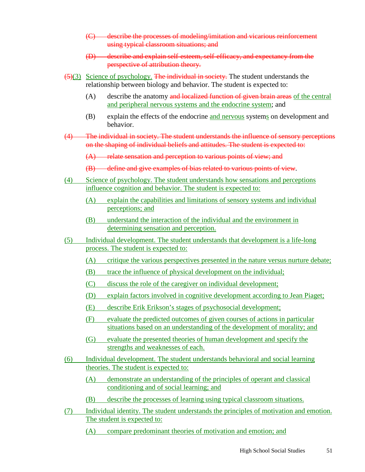- (C) describe the processes of modeling/imitation and vicarious reinforcement using typical classroom situations; and
- (D) describe and explain self-esteem, self-efficacy, and expectancy from the perspective of attribution theory.
- $\left(\frac{5}{3}\right)$  Science of psychology. The individual in society. The student understands the relationship between biology and behavior. The student is expected to:
	- (A) describe the anatomy and localized function of given brain areas of the central and peripheral nervous systems and the endocrine system; and
	- (B) explain the effects of the endocrine and nervous systems on development and behavior.
- (4) The individual in society. The student understands the influence of sensory perceptions on the shaping of individual beliefs and attitudes. The student is expected to:
	- $(A)$  relate sensation and perception to various points of view; and
	- (B) define and give examples of bias related to various points of view.
- (4) Science of psychology. The student understands how sensations and perceptions influence cognition and behavior. The student is expected to:
	- (A) explain the capabilities and limitations of sensory systems and individual perceptions; and
	- (B) understand the interaction of the individual and the environment in determining sensation and perception.
- (5) Individual development. The student understands that development is a life-long process. The student is expected to:
	- (A) critique the various perspectives presented in the nature versus nurture debate;
	- (B) trace the influence of physical development on the individual;
	- (C) discuss the role of the caregiver on individual development;
	- (D) explain factors involved in cognitive development according to Jean Piaget;
	- (E) describe Erik Erikson's stages of psychosocial development;
	- (F) evaluate the predicted outcomes of given courses of actions in particular situations based on an understanding of the development of morality; and
	- (G) evaluate the presented theories of human development and specify the strengths and weaknesses of each.
- (6) Individual development. The student understands behavioral and social learning theories. The student is expected to:
	- (A) demonstrate an understanding of the principles of operant and classical conditioning and of social learning; and
	- (B) describe the processes of learning using typical classroom situations.
- (7) Individual identity. The student understands the principles of motivation and emotion. The student is expected to:
	- (A) compare predominant theories of motivation and emotion; and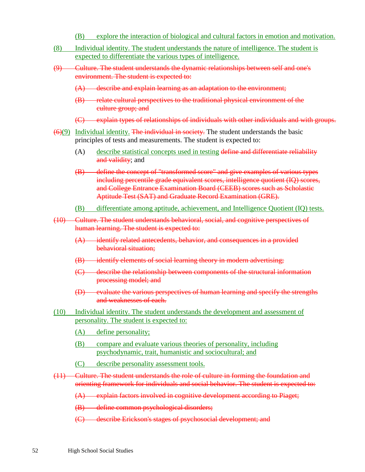- (B) explore the interaction of biological and cultural factors in emotion and motivation.
- (8) Individual identity. The student understands the nature of intelligence. The student is expected to differentiate the various types of intelligence.
- (9) Culture. The student understands the dynamic relationships between self and one's environment. The student is expected to:
	- (A) describe and explain learning as an adaptation to the environment;
	- (B) relate cultural perspectives to the traditional physical environment of the culture group; and
	- (C) explain types of relationships of individuals with other individuals and with groups.
- $(6)(9)$  Individual identity. The individual in society. The student understands the basic principles of tests and measurements. The student is expected to:
	- (A) describe statistical concepts used in testing define and differentiate reliability and validity; and
	- (B) define the concept of "transformed score" and give examples of various types including percentile grade equivalent scores, intelligence quotient (IQ) scores, and College Entrance Examination Board (CEEB) scores such as Scholastic Aptitude Test (SAT) and Graduate Record Examination (GRE).
	- (B) differentiate among aptitude, achievement, and Intelligence Quotient (IQ) tests.
- (10) Culture. The student understands behavioral, social, and cognitive perspectives of human learning. The student is expected to:
	- (A) identify related antecedents, behavior, and consequences in a provided behavioral situation;
	- (B) identify elements of social learning theory in modern advertising;
	- (C) describe the relationship between components of the structural information processing model; and
	- (D) evaluate the various perspectives of human learning and specify the strengths and weaknesses of each.
- (10) Individual identity. The student understands the development and assessment of personality. The student is expected to:
	- (A) define personality;
	- (B) compare and evaluate various theories of personality, including psychodynamic, trait, humanistic and sociocultural; and
	- (C) describe personality assessment tools.
- (11) Culture. The student understands the role of culture in forming the foundation and orienting framework for individuals and social behavior. The student is expected to:

(A) explain factors involved in cognitive development according to Piaget;

- (B) define common psychological disorders;
- (C) describe Erickson's stages of psychosocial development; and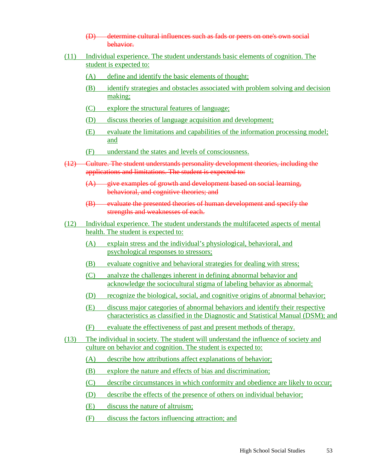- (D) determine cultural influences such as fads or peers on one's own social behavior.
- (11) Individual experience. The student understands basic elements of cognition. The student is expected to:
	- (A) define and identify the basic elements of thought;
	- (B) identify strategies and obstacles associated with problem solving and decision making;
	- (C) explore the structural features of language;
	- (D) discuss theories of language acquisition and development;
	- (E) evaluate the limitations and capabilities of the information processing model; and
	- (F) understand the states and levels of consciousness.
- (12) Culture. The student understands personality development theories, including the applications and limitations. The student is expected to:
	- $(A)$  give examples of growth and development based on social learning, behavioral, and cognitive theories: and
	- (B) evaluate the presented theories of human development and specify the strengths and weaknesses of each.
- (12) Individual experience. The student understands the multifaceted aspects of mental health. The student is expected to:
	- (A) explain stress and the individual's physiological, behavioral, and psychological responses to stressors;
	- (B) evaluate cognitive and behavioral strategies for dealing with stress;
	- (C) analyze the challenges inherent in defining abnormal behavior and acknowledge the sociocultural stigma of labeling behavior as abnormal;
	- (D) recognize the biological, social, and cognitive origins of abnormal behavior;
	- (E) discuss major categories of abnormal behaviors and identify their respective characteristics as classified in the Diagnostic and Statistical Manual (DSM); and
	- (F) evaluate the effectiveness of past and present methods of therapy.
- (13) The individual in society. The student will understand the influence of society and culture on behavior and cognition. The student is expected to:
	- (A) describe how attributions affect explanations of behavior;
	- (B) explore the nature and effects of bias and discrimination;
	- (C) describe circumstances in which conformity and obedience are likely to occur;
	- (D) describe the effects of the presence of others on individual behavior;
	- (E) discuss the nature of altruism;
	- (F) discuss the factors influencing attraction; and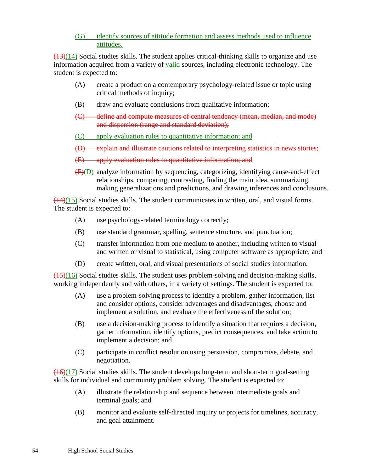(G) identify sources of attitude formation and assess methods used to influence attitudes.

 $(13)(14)$  Social studies skills. The student applies critical-thinking skills to organize and use information acquired from a variety of valid sources, including electronic technology. The student is expected to:

- (A) create a product on a contemporary psychology-related issue or topic using critical methods of inquiry;
- (B) draw and evaluate conclusions from qualitative information;
- (C) define and compute measures of central tendency (mean, median, and mode) and dispersion (range and standard deviation);
- (C) apply evaluation rules to quantitative information; and
- (D) explain and illustrate cautions related to interpreting statistics in news stories;
- (E) apply evaluation rules to quantitative information; and
- (F)(D) analyze information by sequencing, categorizing, identifying cause-and-effect relationships, comparing, contrasting, finding the main idea, summarizing, making generalizations and predictions, and drawing inferences and conclusions.

 $(14)(15)$  Social studies skills. The student communicates in written, oral, and visual forms. The student is expected to:

- (A) use psychology-related terminology correctly;
- (B) use standard grammar, spelling, sentence structure, and punctuation;
- (C) transfer information from one medium to another, including written to visual and written or visual to statistical, using computer software as appropriate; and
- (D) create written, oral, and visual presentations of social studies information.

 $(15)(16)$  Social studies skills. The student uses problem-solving and decision-making skills, working independently and with others, in a variety of settings. The student is expected to:

- (A) use a problem-solving process to identify a problem, gather information, list and consider options, consider advantages and disadvantages, choose and implement a solution, and evaluate the effectiveness of the solution;
- (B) use a decision-making process to identify a situation that requires a decision, gather information, identify options, predict consequences, and take action to implement a decision; and
- (C) participate in conflict resolution using persuasion, compromise, debate, and negotiation.

 $(16)(17)$  Social studies skills. The student develops long-term and short-term goal-setting skills for individual and community problem solving. The student is expected to:

- (A) illustrate the relationship and sequence between intermediate goals and terminal goals; and
- (B) monitor and evaluate self-directed inquiry or projects for timelines, accuracy, and goal attainment.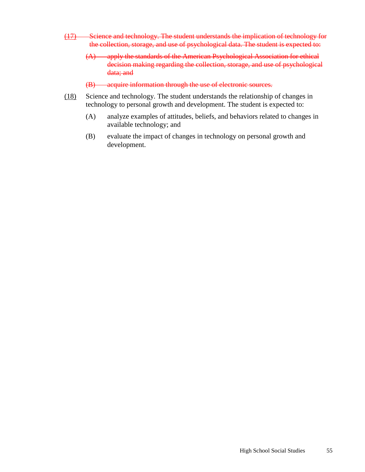- (17) Science and technology. The student understands the implication of technology for the collection, storage, and use of psychological data. The student is expected to:
	- (A) apply the standards of the American Psychological Association for ethical decision making regarding the collection, storage, and use of psychological data; and
	- (B) acquire information through the use of electronic sources.
- (18) Science and technology. The student understands the relationship of changes in technology to personal growth and development. The student is expected to:
	- (A) analyze examples of attitudes, beliefs, and behaviors related to changes in available technology; and
	- (B) evaluate the impact of changes in technology on personal growth and development.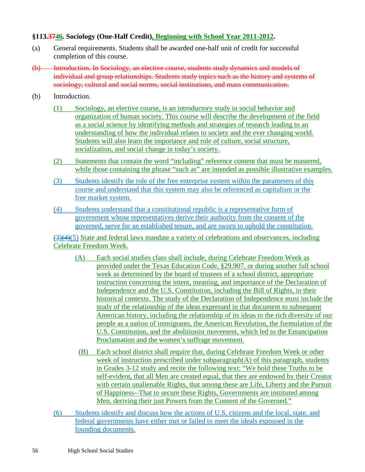### **§113.3746. Sociology (One-Half Credit), Beginning with School Year 2011-2012.**

- (a) General requirements. Students shall be awarded one-half unit of credit for successful completion of this course.
- (b) Introduction. In Sociology, an elective course, students study dynamics and models of individual and group relationships. Students study topics such as the history and systems of sociology, cultural and social norms, social institutions, and mass communication.
- (b) Introduction.
	- (1) Sociology, an elective course, is an introductory study in social behavior and organization of human society. This course will describe the development of the field as a social science by identifying methods and strategies of research leading to an understanding of how the individual relates to society and the ever changing world. Students will also learn the importance and role of culture, social structure, socialization, and social change in today's society.
	- (2) Statements that contain the word "including" reference content that must be mastered, while those containing the phrase "such as" are intended as possible illustrative examples.
	- (3) Students identify the role of the free enterprise system within the parameters of this course and understand that this system may also be referenced as capitalism or the free market system.
	- (4) Students understand that a constitutional republic is a representative form of government whose representatives derive their authority from the consent of the governed, serve for an established tenure, and are sworn to uphold the constitution.

(3)(4)(5) State and federal laws mandate a variety of celebrations and observances, including Celebrate Freedom Week.

- (A) Each social studies class shall include, during Celebrate Freedom Week as provided under the Texas Education Code, §29.907, or during another full school week as determined by the board of trustees of a school district, appropriate instruction concerning the intent, meaning, and importance of the Declaration of Independence and the U.S. Constitution, including the Bill of Rights, in their historical contexts. The study of the Declaration of Independence must include the study of the relationship of the ideas expressed in that document to subsequent American history, including the relationship of its ideas to the rich diversity of our people as a nation of immigrants, the American Revolution, the formulation of the U.S. Constitution, and the abolitionist movement, which led to the Emancipation Proclamation and the women's suffrage movement.
- (B) Each school district shall require that, during Celebrate Freedom Week or other week of instruction prescribed under subparagraph(A) of this paragraph, students in Grades 3-12 study and recite the following text: "We hold these Truths to be self-evident, that all Men are created equal, that they are endowed by their Creator with certain unalienable Rights, that among these are Life, Liberty and the Pursuit of Happiness--That to secure these Rights, Governments are instituted among Men, deriving their just Powers from the Consent of the Governed."
- (6) Students identify and discuss how the actions of U.S. citizens and the local, state, and federal governments have either met or failed to meet the ideals espoused in the founding documents.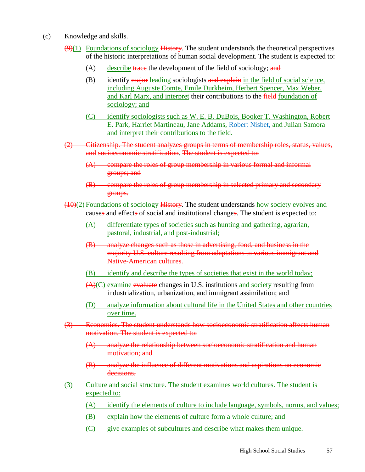- (c) Knowledge and skills.
	- $(9)(1)$  Foundations of sociology History. The student understands the theoretical perspectives of the historic interpretations of human social development. The student is expected to:
		- $(A)$  describe trace the development of the field of sociology; and
		- $(B)$  identify major leading sociologists and explain in the field of social science, including Auguste Comte, Emile Durkheim, Herbert Spencer, Max Weber, and Karl Marx, and interpret their contributions to the field foundation of sociology; and
		- (C) identify sociologists such as W. E. B. DuBois, Booker T. Washington, Robert E. Park, Harriet Martineau, Jane Addams, Robert Nisbet, and Julian Samora and interpret their contributions to the field.
	- (2) Citizenship. The student analyzes groups in terms of membership roles, status, values, and socioeconomic stratification. The student is expected to:
		- (A) compare the roles of group membership in various formal and informal groups; and
		- (B) compare the roles of group membership in selected primary and secondary groups.
	- $(10)(2)$  Foundations of sociology History. The student understands how society evolves and causes and effects of social and institutional changes. The student is expected to:
		- (A) differentiate types of societies such as hunting and gathering, agrarian, pastoral, industrial, and post-industrial;
		- (B) analyze changes such as those in advertising, food, and business in the majority U.S. culture resulting from adaptations to various immigrant and Native-American cultures.
		- (B) identify and describe the types of societies that exist in the world today;
		- (A)(C) examine evaluate changes in U.S. institutions and society resulting from industrialization, urbanization, and immigrant assimilation; and
		- (D) analyze information about cultural life in the United States and other countries over time.
	- (3) Economics. The student understands how socioeconomic stratification affects human motivation. The student is expected to:
		- (A) analyze the relationship between socioeconomic stratification and human motivation; and
		- (B) analyze the influence of different motivations and aspirations on economic decisions.
	- (3) Culture and social structure. The student examines world cultures. The student is expected to:
		- (A) identify the elements of culture to include language, symbols, norms, and values;
		- (B) explain how the elements of culture form a whole culture; and
		- (C) give examples of subcultures and describe what makes them unique.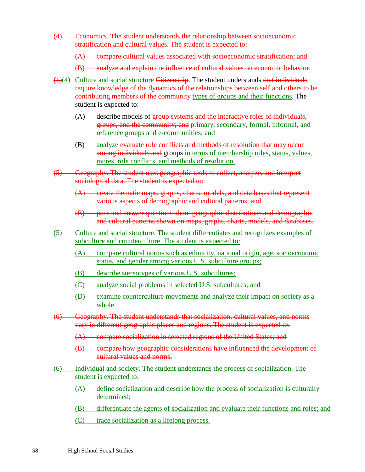(4) Economics. The student understands the relationship between socioeconomic stratification and cultural values. The student is expected to:

(A) compare cultural values associated with socioeconomic stratification; and

(B) analyze and explain the influence of cultural values on economic behavior.

- $(1)(4)$  Culture and social structure Citizenship. The student understands that individuals require knowledge of the dynamics of the relationships between self and others to be contributing members of the community types of groups and their functions. The student is expected to:
	- (A) describe models of group systems and the interactive roles of individuals, groups, and the community; and primary, secondary, formal, informal, and reference groups and e-communities; and
	- (B) analyze evaluate role conflicts and methods of resolution that may occur among individuals and groups in terms of membership roles, status, values, mores, role conflicts, and methods of resolution.
- (5) Geography. The student uses geographic tools to collect, analyze, and interpret sociological data. The student is expected to:
	- (A) create thematic maps, graphs, charts, models, and data bases that represent various aspects of demographic and cultural patterns; and
	- (B) pose and answer questions about geographic distributions and demographic and cultural patterns shown on maps, graphs, charts, models, and databases.
- (5) Culture and social structure. The student differentiates and recognizes examples of subculture and counterculture. The student is expected to:
	- (A) compare cultural norms such as ethnicity, national origin, age, socioeconomic status, and gender among various U.S. subculture groups;
	- (B) describe stereotypes of various U.S. subcultures;
	- (C) analyze social problems in selected U.S. subcultures; and
	- (D) examine counterculture movements and analyze their impact on society as a whole.
- (6) Geography. The student understands that socialization, cultural values, and norms vary in different geographic places and regions. The student is expected to:
	- (A) compare socialization in selected regions of the United States; and
	- (B) compare how geographic considerations have influenced the development of cultural values and norms.
- (6) Individual and society. The student understands the process of socialization. The student is expected to:
	- (A) define socialization and describe how the process of socialization is culturally determined;
	- (B) differentiate the agents of socialization and evaluate their functions and roles; and
	- (C) trace socialization as a lifelong process.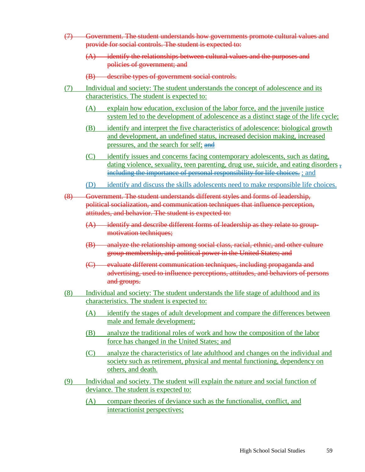- (7) Government. The student understands how governments promote cultural values and provide for social controls. The student is expected to:
	- (A) identify the relationships between cultural values and the purposes and policies of government; and
	- (B) describe types of government social controls.
- (7) Individual and society: The student understands the concept of adolescence and its characteristics. The student is expected to:
	- (A) explain how education, exclusion of the labor force, and the juvenile justice system led to the development of adolescence as a distinct stage of the life cycle;
	- (B) identify and interpret the five characteristics of adolescence: biological growth and development, an undefined status, increased decision making, increased pressures, and the search for self: and
	- (C) identify issues and concerns facing contemporary adolescents, such as dating, dating violence, sexuality, teen parenting, drug use, suicide, and eating disorders  $\frac{1}{2}$ including the importance of personal responsibility for life choices. ; and
	- (D) identify and discuss the skills adolescents need to make responsible life choices.
- (8) Government. The student understands different styles and forms of leadership, political socialization, and communication techniques that influence perception, attitudes, and behavior. The student is expected to:
	- (A) identify and describe different forms of leadership as they relate to groupmotivation techniques;
	- (B) analyze the relationship among social class, racial, ethnic, and other culture group membership, and political power in the United States; and
	- (C) evaluate different communication techniques, including propaganda and advertising, used to influence perceptions, attitudes, and behaviors of persons and groups.
- (8) Individual and society: The student understands the life stage of adulthood and its characteristics. The student is expected to:
	- (A) identify the stages of adult development and compare the differences between male and female development;
	- (B) analyze the traditional roles of work and how the composition of the labor force has changed in the United States; and
	- (C) analyze the characteristics of late adulthood and changes on the individual and society such as retirement, physical and mental functioning, dependency on others, and death.
- (9) Individual and society. The student will explain the nature and social function of deviance. The student is expected to:
	- (A) compare theories of deviance such as the functionalist, conflict, and interactionist perspectives;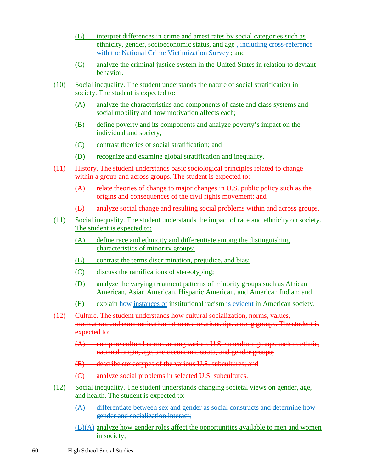- (B) interpret differences in crime and arrest rates by social categories such as ethnicity, gender, socioeconomic status, and age , including cross-reference with the National Crime Victimization Survey ; and
- (C) analyze the criminal justice system in the United States in relation to deviant behavior.
- (10) Social inequality. The student understands the nature of social stratification in society. The student is expected to:
	- (A) analyze the characteristics and components of caste and class systems and social mobility and how motivation affects each;
	- (B) define poverty and its components and analyze poverty's impact on the individual and society;
	- (C) contrast theories of social stratification; and
	- (D) recognize and examine global stratification and inequality.
- (11) History. The student understands basic sociological principles related to change within a group and across groups. The student is expected to:
	- (A) relate theories of change to major changes in U.S. public policy such as the origins and consequences of the civil rights movement; and
	- (B) analyze social change and resulting social problems within and across groups.
- (11) Social inequality. The student understands the impact of race and ethnicity on society. The student is expected to:
	- (A) define race and ethnicity and differentiate among the distinguishing characteristics of minority groups;
	- (B) contrast the terms discrimination, prejudice, and bias;
	- (C) discuss the ramifications of stereotyping;
	- (D) analyze the varying treatment patterns of minority groups such as African American, Asian American, Hispanic American, and American Indian; and
	- (E) explain how instances of institutional racism is evident in American society.
- (12) Culture. The student understands how cultural socialization, norms, values, motivation, and communication influence relationships among groups. The student is expected to:
	- (A) compare cultural norms among various U.S. subculture groups such as ethnic, national origin, age, socioeconomic strata, and gender groups;
	- (B) describe stereotypes of the various U.S. subcultures; and
	- (C) analyze social problems in selected U.S. subcultures.
- (12) Social inequality. The student understands changing societal views on gender, age, and health. The student is expected to:
	- $(A)$  differentiate between sex and gender as social constructs and determine how gender and socialization interact;
	- $(B)(A)$  analyze how gender roles affect the opportunities available to men and women in society;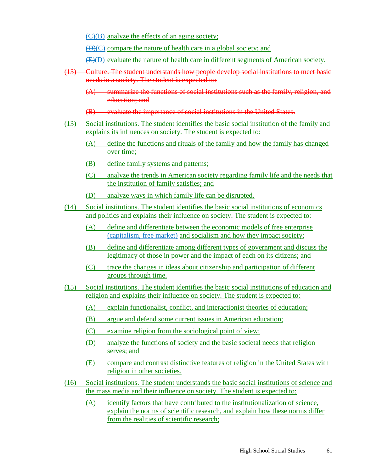$\left(\frac{C}{B}\right)$  analyze the effects of an aging society:

 $(\overline{D})(C)$  compare the nature of health care in a global society; and

(E)(D) evaluate the nature of health care in different segments of American society.

- (13) Culture. The student understands how people develop social institutions to meet basic needs in a society. The student is expected to:
	- (A) summarize the functions of social institutions such as the family, religion, and education; and
	- (B) evaluate the importance of social institutions in the United States.
- (13) Social institutions. The student identifies the basic social institution of the family and explains its influences on society. The student is expected to:
	- (A) define the functions and rituals of the family and how the family has changed over time;
	- (B) define family systems and patterns;
	- (C) analyze the trends in American society regarding family life and the needs that the institution of family satisfies; and
	- (D) analyze ways in which family life can be disrupted.
- (14) Social institutions. The student identifies the basic social institutions of economics and politics and explains their influence on society. The student is expected to:
	- (A) define and differentiate between the economic models of free enterprise (capitalism, free market) and socialism and how they impact society;
	- (B) define and differentiate among different types of government and discuss the legitimacy of those in power and the impact of each on its citizens; and
	- (C) trace the changes in ideas about citizenship and participation of different groups through time.
- (15) Social institutions. The student identifies the basic social institutions of education and religion and explains their influence on society. The student is expected to:
	- (A) explain functionalist, conflict, and interactionist theories of education;
	- (B) argue and defend some current issues in American education;
	- (C) examine religion from the sociological point of view;
	- (D) analyze the functions of society and the basic societal needs that religion serves; and
	- (E) compare and contrast distinctive features of religion in the United States with religion in other societies.
- (16) Social institutions. The student understands the basic social institutions of science and the mass media and their influence on society. The student is expected to:
	- (A) identify factors that have contributed to the institutionalization of science, explain the norms of scientific research, and explain how these norms differ from the realities of scientific research;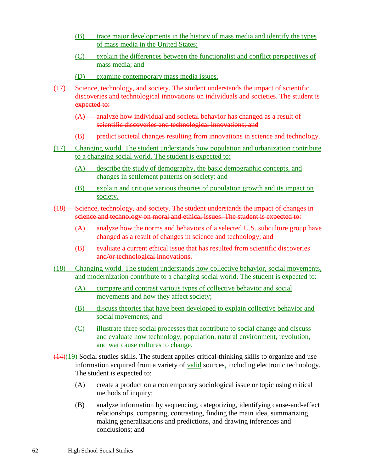- (B) trace major developments in the history of mass media and identify the types of mass media in the United States;
- (C) explain the differences between the functionalist and conflict perspectives of mass media; and
- (D) examine contemporary mass media issues.
- (17) Science, technology, and society. The student understands the impact of scientific discoveries and technological innovations on individuals and societies. The student is expected to:
	- (A) analyze how individual and societal behavior has changed as a result of scientific discoveries and technological innovations; and
	- (B) predict societal changes resulting from innovations in science and technology.
- (17) Changing world. The student understands how population and urbanization contribute to a changing social world. The student is expected to:
	- (A) describe the study of demography, the basic demographic concepts, and changes in settlement patterns on society; and
	- (B) explain and critique various theories of population growth and its impact on society.
- (18) Science, technology, and society. The student understands the impact of changes in science and technology on moral and ethical issues. The student is expected to:
	- (A) analyze how the norms and behaviors of a selected U.S. subculture group have changed as a result of changes in science and technology; and
	- (B) evaluate a current ethical issue that has resulted from scientific discoveries and/or technological innovations.
- (18) Changing world. The student understands how collective behavior, social movements, and modernization contribute to a changing social world. The student is expected to:
	- (A) compare and contrast various types of collective behavior and social movements and how they affect society;
	- (B) discuss theories that have been developed to explain collective behavior and social movements; and
	- (C) illustrate three social processes that contribute to social change and discuss and evaluate how technology, population, natural environment, revolution, and war cause cultures to change.
- $(14)(19)$  Social studies skills. The student applies critical-thinking skills to organize and use information acquired from a variety of valid sources, including electronic technology. The student is expected to:
	- (A) create a product on a contemporary sociological issue or topic using critical methods of inquiry;
	- (B) analyze information by sequencing, categorizing, identifying cause-and-effect relationships, comparing, contrasting, finding the main idea, summarizing, making generalizations and predictions, and drawing inferences and conclusions; and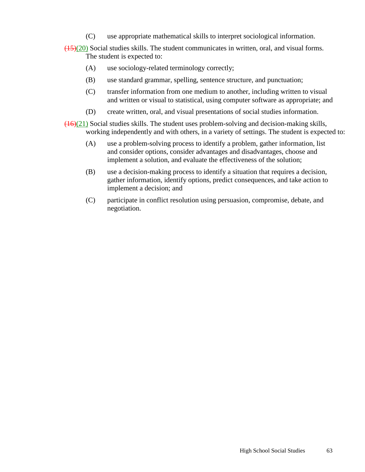- (C) use appropriate mathematical skills to interpret sociological information.
- (15)(20) Social studies skills. The student communicates in written, oral, and visual forms. The student is expected to:
	- (A) use sociology-related terminology correctly;
	- (B) use standard grammar, spelling, sentence structure, and punctuation;
	- (C) transfer information from one medium to another, including written to visual and written or visual to statistical, using computer software as appropriate; and
	- (D) create written, oral, and visual presentations of social studies information.
- $(16)(21)$  Social studies skills. The student uses problem-solving and decision-making skills, working independently and with others, in a variety of settings. The student is expected to:
	- (A) use a problem-solving process to identify a problem, gather information, list and consider options, consider advantages and disadvantages, choose and implement a solution, and evaluate the effectiveness of the solution;
	- (B) use a decision-making process to identify a situation that requires a decision, gather information, identify options, predict consequences, and take action to implement a decision; and
	- (C) participate in conflict resolution using persuasion, compromise, debate, and negotiation.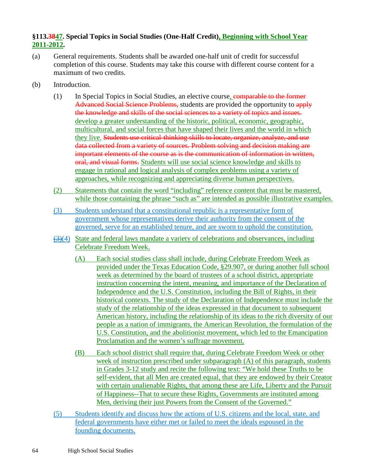# **§113.3847. Special Topics in Social Studies (One-Half Credit), Beginning with School Year 2011-2012.**

- (a) General requirements. Students shall be awarded one-half unit of credit for successful completion of this course. Students may take this course with different course content for a maximum of two credits.
- (b) Introduction.
	- (1) In Special Topics in Social Studies, an elective course, comparable to the former Advanced Social Science Problems, students are provided the opportunity to apply the knowledge and skills of the social sciences to a variety of topics and issues. develop a greater understanding of the historic, political, economic, geographic, multicultural, and social forces that have shaped their lives and the world in which they live. Students use critical-thinking skills to locate, organize, analyze, and use data collected from a variety of sources. Problem solving and decision making are important elements of the course as is the communication of information in written, oral, and visual forms. Students will use social science knowledge and skills to engage in rational and logical analysis of complex problems using a variety of approaches, while recognizing and appreciating diverse human perspectives.
	- (2) Statements that contain the word "including" reference content that must be mastered, while those containing the phrase "such as" are intended as possible illustrative examples.
	- (3) Students understand that a constitutional republic is a representative form of government whose representatives derive their authority from the consent of the governed, serve for an established tenure, and are sworn to uphold the constitution.
	- $\left(\frac{3}{4}\right)$  State and federal laws mandate a variety of celebrations and observances, including Celebrate Freedom Week.
		- (A) Each social studies class shall include, during Celebrate Freedom Week as provided under the Texas Education Code, §29.907, or during another full school week as determined by the board of trustees of a school district, appropriate instruction concerning the intent, meaning, and importance of the Declaration of Independence and the U.S. Constitution, including the Bill of Rights, in their historical contexts. The study of the Declaration of Independence must include the study of the relationship of the ideas expressed in that document to subsequent American history, including the relationship of its ideas to the rich diversity of our people as a nation of immigrants, the American Revolution, the formulation of the U.S. Constitution, and the abolitionist movement, which led to the Emancipation Proclamation and the women's suffrage movement.
		- (B) Each school district shall require that, during Celebrate Freedom Week or other week of instruction prescribed under subparagraph (A) of this paragraph, students in Grades 3-12 study and recite the following text: "We hold these Truths to be self-evident, that all Men are created equal, that they are endowed by their Creator with certain unalienable Rights, that among these are Life, Liberty and the Pursuit of Happiness--That to secure these Rights, Governments are instituted among Men, deriving their just Powers from the Consent of the Governed."
	- (5) Students identify and discuss how the actions of U.S. citizens and the local, state, and federal governments have either met or failed to meet the ideals espoused in the founding documents.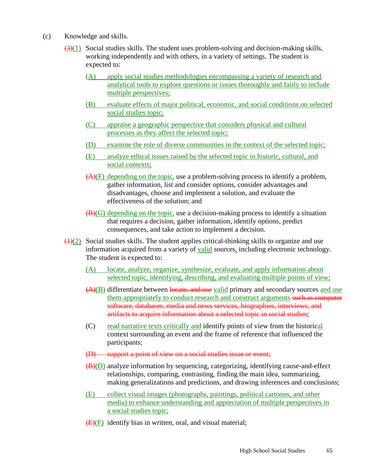- (c) Knowledge and skills.
	- $(3)(1)$  Social studies skills. The student uses problem-solving and decision-making skills, working independently and with others, in a variety of settings. The student is expected to:
		- (A) apply social studies methodologies encompassing a variety of research and analytical tools to explore questions or issues thoroughly and fairly to include multiple perspectives;
		- (B) evaluate effects of major political, economic, and social conditions on selected social studies topic;
		- (C) appraise a geographic perspective that considers physical and cultural processes as they affect the selected topic;
		- (D) examine the role of diverse communities in the context of the selected topic;
		- (E) analyze ethical issues raised by the selected topic in historic, cultural, and social contexts;
		- $(A)(F)$  depending on the topic, use a problem-solving process to identify a problem, gather information, list and consider options, consider advantages and disadvantages, choose and implement a solution, and evaluate the effectiveness of the solution; and
		- $(\mathbf{B})(G)$  depending on the topic, use a decision-making process to identify a situation that requires a decision, gather information, identify options, predict consequences, and take action to implement a decision.
	- $\left(\frac{1}{2}\right)$  Social studies skills. The student applies critical-thinking skills to organize and use information acquired from a variety of valid sources, including electronic technology. The student is expected to:
		- (A) locate, analyze, organize, synthesize, evaluate, and apply information about selected topic, identifying, describing, and evaluating multiple points of view;
		- (A)(B) differentiate between locate, and use valid primary and secondary sources and use them appropriately to conduct research and construct arguments such as computer software, databases, media and news services, biographies, interviews, and artifacts to acquire information about a selected topic in social studies;
		- (C) read narrative texts critically and identify points of view from the historical context surrounding an event and the frame of reference that influenced the participants;
		- (D) support a point of view on a social studies issue or event;
		- (B)(D) analyze information by sequencing, categorizing, identifying cause-and-effect relationships, comparing, contrasting, finding the main idea, summarizing, making generalizations and predictions, and drawing inferences and conclusions;
		- (E) collect visual images (photographs, paintings, political cartoons, and other media) to enhance understanding and appreciation of multiple perspectives in a social studies topic;
		- $(E)(F)$  identify bias in written, oral, and visual material;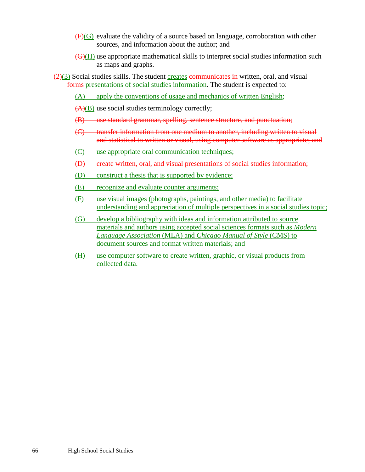- $(F)(G)$  evaluate the validity of a source based on language, corroboration with other sources, and information about the author; and
- (G)(H) use appropriate mathematical skills to interpret social studies information such as maps and graphs.
- $(2)(3)$  Social studies skills. The student creates communicates in written, oral, and visual forms presentations of social studies information. The student is expected to:
	- (A) apply the conventions of usage and mechanics of written English;
	- $(A)(B)$  use social studies terminology correctly;
	- (B) use standard grammar, spelling, sentence structure, and punctuation;
	- (C) transfer information from one medium to another, including written to visual and statistical to written or visual, using computer software as appropriate; and
	- (C) use appropriate oral communication techniques;
	- (D) create written, oral, and visual presentations of social studies information;
	- (D) construct a thesis that is supported by evidence;
	- (E) recognize and evaluate counter arguments;
	- (F) use visual images (photographs, paintings, and other media) to facilitate understanding and appreciation of multiple perspectives in a social studies topic;
	- (G) develop a bibliography with ideas and information attributed to source materials and authors using accepted social sciences formats such as *Modern Language Association* (MLA) and *Chicago Manual of Style* (CMS) to document sources and format written materials; and
	- (H) use computer software to create written, graphic, or visual products from collected data.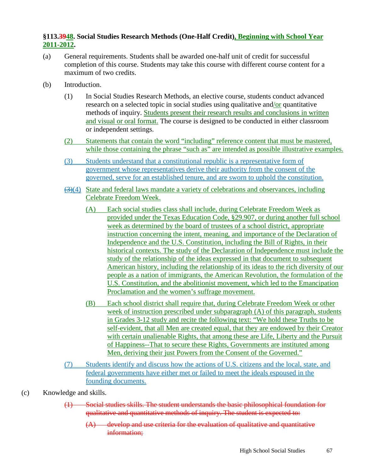### **§113.3948. Social Studies Research Methods (One-Half Credit), Beginning with School Year 2011-2012.**

- (a) General requirements. Students shall be awarded one-half unit of credit for successful completion of this course. Students may take this course with different course content for a maximum of two credits.
- (b) Introduction.
	- (1) In Social Studies Research Methods, an elective course, students conduct advanced research on a selected topic in social studies using qualitative and/or quantitative methods of inquiry. Students present their research results and conclusions in written and visual or oral format. The course is designed to be conducted in either classroom or independent settings.
	- (2) Statements that contain the word "including" reference content that must be mastered, while those containing the phrase "such as" are intended as possible illustrative examples.
	- (3) Students understand that a constitutional republic is a representative form of government whose representatives derive their authority from the consent of the governed, serve for an established tenure, and are sworn to uphold the constitution.
	- $\left(\frac{3}{2}\right)(4)$  State and federal laws mandate a variety of celebrations and observances, including Celebrate Freedom Week.
		- (A) Each social studies class shall include, during Celebrate Freedom Week as provided under the Texas Education Code, §29.907, or during another full school week as determined by the board of trustees of a school district, appropriate instruction concerning the intent, meaning, and importance of the Declaration of Independence and the U.S. Constitution, including the Bill of Rights, in their historical contexts. The study of the Declaration of Independence must include the study of the relationship of the ideas expressed in that document to subsequent American history, including the relationship of its ideas to the rich diversity of our people as a nation of immigrants, the American Revolution, the formulation of the U.S. Constitution, and the abolitionist movement, which led to the Emancipation Proclamation and the women's suffrage movement.
		- (B) Each school district shall require that, during Celebrate Freedom Week or other week of instruction prescribed under subparagraph (A) of this paragraph, students in Grades 3-12 study and recite the following text: "We hold these Truths to be self-evident, that all Men are created equal, that they are endowed by their Creator with certain unalienable Rights, that among these are Life, Liberty and the Pursuit of Happiness--That to secure these Rights, Governments are instituted among Men, deriving their just Powers from the Consent of the Governed."
	- (7) Students identify and discuss how the actions of U.S. citizens and the local, state, and federal governments have either met or failed to meet the ideals espoused in the founding documents.
- (c) Knowledge and skills.
	- (1) Social studies skills. The student understands the basic philosophical foundation for qualitative and quantitative methods of inquiry. The student is expected to:
		- (A) develop and use criteria for the evaluation of qualitative and quantitative information;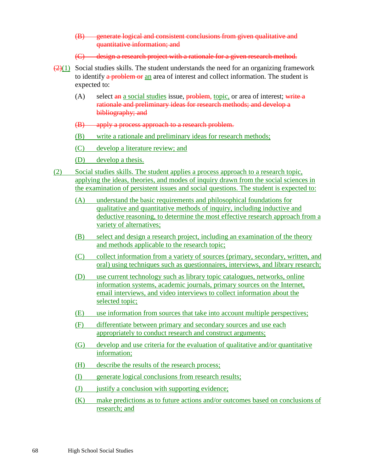- (B) generate logical and consistent conclusions from given qualitative and quantitative information; and
- (C) design a research project with a rationale for a given research method.
- $\left(\frac{2}{1}\right)$  Social studies skills. The student understands the need for an organizing framework to identify a problem or an area of interest and collect information. The student is expected to:
	- (A) select  $\frac{a_n}{a_n}$  a social studies issue, problem, topic, or area of interest; write a rationale and preliminary ideas for research methods; and develop a bibliography; and
	- (B) apply a process approach to a research problem.
	- (B) write a rationale and preliminary ideas for research methods;
	- (C) develop a literature review; and
	- (D) develop a thesis.
- (2) Social studies skills. The student applies a process approach to a research topic, applying the ideas, theories, and modes of inquiry drawn from the social sciences in the examination of persistent issues and social questions. The student is expected to:
	- (A) understand the basic requirements and philosophical foundations for qualitative and quantitative methods of inquiry, including inductive and deductive reasoning, to determine the most effective research approach from a variety of alternatives;
	- (B) select and design a research project, including an examination of the theory and methods applicable to the research topic;
	- (C) collect information from a variety of sources (primary, secondary, written, and oral) using techniques such as questionnaires, interviews, and library research;
	- (D) use current technology such as library topic catalogues, networks, online information systems, academic journals, primary sources on the Internet, email interviews, and video interviews to collect information about the selected topic;
	- (E) use information from sources that take into account multiple perspectives;
	- (F) differentiate between primary and secondary sources and use each appropriately to conduct research and construct arguments;
	- (G) develop and use criteria for the evaluation of qualitative and/or quantitative information;
	- (H) describe the results of the research process;
	- (I) generate logical conclusions from research results;
	- (J) justify a conclusion with supporting evidence;
	- (K) make predictions as to future actions and/or outcomes based on conclusions of research; and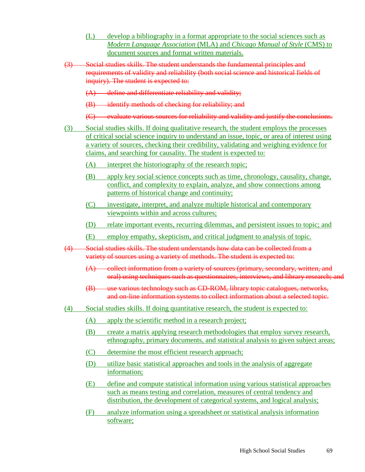- (L) develop a bibliography in a format appropriate to the social sciences such as *Modern Language Association* (MLA) and *Chicago Manual of Style* (CMS) to document sources and format written materials.
- (3) Social studies skills. The student understands the fundamental principles and requirements of validity and reliability (both social science and historical fields of inquiry). The student is expected to:
	- (A) define and differentiate reliability and validity;
	- (B) identify methods of checking for reliability; and
	- (C) evaluate various sources for reliability and validity and justify the conclusions.
- (3) Social studies skills. If doing qualitative research, the student employs the processes of critical social science inquiry to understand an issue, topic, or area of interest using a variety of sources, checking their credibility, validating and weighing evidence for claims, and searching for causality. The student is expected to:
	- (A) interpret the historiography of the research topic;
	- (B) apply key social science concepts such as time, chronology, causality, change, conflict, and complexity to explain, analyze, and show connections among patterns of historical change and continuity;
	- (C) investigate, interpret, and analyze multiple historical and contemporary viewpoints within and across cultures;
	- (D) relate important events, recurring dilemmas, and persistent issues to topic; and
	- (E) employ empathy, skepticism, and critical judgment to analysis of topic.
- (4) Social studies skills. The student understands how data can be collected from a variety of sources using a variety of methods. The student is expected to:
	- (A) collect information from a variety of sources (primary, secondary, written, and oral) using techniques such as questionnaires, interviews, and library research; and
	- (B) use various technology such as CD-ROM, library topic catalogues, networks, and on-line information systems to collect information about a selected topic.
- (4) Social studies skills. If doing quantitative research, the student is expected to:
	- (A) apply the scientific method in a research project;
	- (B) create a matrix applying research methodologies that employ survey research, ethnography, primary documents, and statistical analysis to given subject areas;
	- (C) determine the most efficient research approach;
	- (D) utilize basic statistical approaches and tools in the analysis of aggregate information;
	- (E) define and compute statistical information using various statistical approaches such as means testing and correlation, measures of central tendency and distribution, the development of categorical systems, and logical analysis;
	- (F) analyze information using a spreadsheet or statistical analysis information software;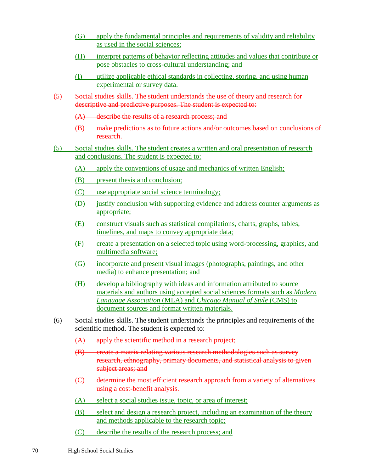- (G) apply the fundamental principles and requirements of validity and reliability as used in the social sciences;
- (H) interpret patterns of behavior reflecting attitudes and values that contribute or pose obstacles to cross-cultural understanding; and
- (I) utilize applicable ethical standards in collecting, storing, and using human experimental or survey data.
- (5) Social studies skills. The student understands the use of theory and research for descriptive and predictive purposes. The student is expected to:
	- (A) describe the results of a research process; and
	- (B) make predictions as to future actions and/or outcomes based on conclusions of research.
- (5) Social studies skills. The student creates a written and oral presentation of research and conclusions. The student is expected to:
	- (A) apply the conventions of usage and mechanics of written English;
	- (B) present thesis and conclusion;
	- (C) use appropriate social science terminology;
	- (D) justify conclusion with supporting evidence and address counter arguments as appropriate;
	- (E) construct visuals such as statistical compilations, charts, graphs, tables, timelines, and maps to convey appropriate data;
	- (F) create a presentation on a selected topic using word-processing, graphics, and multimedia software;
	- (G) incorporate and present visual images (photographs, paintings, and other media) to enhance presentation; and
	- (H) develop a bibliography with ideas and information attributed to source materials and authors using accepted social sciences formats such as *Modern Language Association* (MLA) and *Chicago Manual of Style* (CMS) to document sources and format written materials.
- (6) Social studies skills. The student understands the principles and requirements of the scientific method. The student is expected to:
	- $(A)$  apply the scientific method in a research project;
	- (B) create a matrix relating various research methodologies such as survey research, ethnography, primary documents, and statistical analysis to given subject areas; and
	- (C) determine the most efficient research approach from a variety of alternatives using a cost-benefit analysis.
	- (A) select a social studies issue, topic, or area of interest;
	- (B) select and design a research project, including an examination of the theory and methods applicable to the research topic;
	- (C) describe the results of the research process; and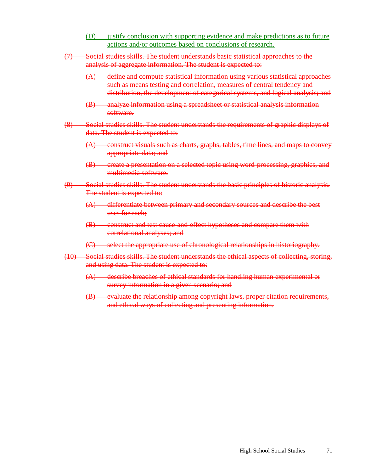- (D) justify conclusion with supporting evidence and make predictions as to future actions and/or outcomes based on conclusions of research.
- (7) Social studies skills. The student understands basic statistical approaches to the analysis of aggregate information. The student is expected to:
	- (A) define and compute statistical information using various statistical approaches such as means testing and correlation, measures of central tendency and distribution, the development of categorical systems, and logical analysis; and
	- (B) analyze information using a spreadsheet or statistical analysis information software.
- (8) Social studies skills. The student understands the requirements of graphic displays of data. The student is expected to:
	- (A) construct visuals such as charts, graphs, tables, time lines, and maps to convey appropriate data; and
	- (B) create a presentation on a selected topic using word-processing, graphics, and multimedia software.
- (9) Social studies skills. The student understands the basic principles of historic analysis. The student is expected to:
	- (A) differentiate between primary and secondary sources and describe the best uses for each;
	- (B) construct and test cause-and-effect hypotheses and compare them with correlational analyses; and
	- (C) select the appropriate use of chronological relationships in historiography.
- (10) Social studies skills. The student understands the ethical aspects of collecting, storing, and using data. The student is expected to:
	- (A) describe breaches of ethical standards for handling human experimental or survey information in a given scenario; and
	- (B) evaluate the relationship among copyright laws, proper citation requirements, and ethical ways of collecting and presenting information.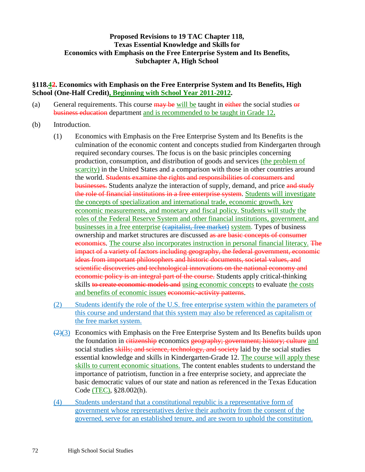# **Proposed Revisions to 19 TAC Chapter 118, Texas Essential Knowledge and Skills for Economics with Emphasis on the Free Enterprise System and Its Benefits, Subchapter A, High School**

### **§118.42. Economics with Emphasis on the Free Enterprise System and Its Benefits, High School (One-Half Credit), Beginning with School Year 2011-2012.**

- (a) General requirements. This course  $\frac{1}{2}$  be will be taught in either the social studies or business education department and is recommended to be taught in Grade 12**.**
- (b) Introduction.
	- (1) Economics with Emphasis on the Free Enterprise System and Its Benefits is the culmination of the economic content and concepts studied from Kindergarten through required secondary courses. The focus is on the basic principles concerning production, consumption, and distribution of goods and services (the problem of scarcity) in the United States and a comparison with those in other countries around the world. Students examine the rights and responsibilities of consumers and businesses. Students analyze the interaction of supply, demand, and price and study the role of financial institutions in a free enterprise system. Students will investigate the concepts of specialization and international trade, economic growth, key economic measurements, and monetary and fiscal policy. Students will study the roles of the Federal Reserve System and other financial institutions, government, and businesses in a free enterprise (capitalist, free market) system. Types of business ownership and market structures are discussed as are basic concepts of consumer economics. The course also incorporates instruction in personal financial literacy. The impact of a variety of factors including geography, the federal government, economic ideas from important philosophers and historic documents, societal values, and scientific discoveries and technological innovations on the national economy and economic policy is an integral part of the course. Students apply critical-thinking skills to create economic models and using economic concepts to evaluate the costs and benefits of economic issues economic-activity patterns.
	- (2) Students identify the role of the U.S. free enterprise system within the parameters of this course and understand that this system may also be referenced as capitalism or the free market system.
	- $(2)(3)$  Economics with Emphasis on the Free Enterprise System and Its Benefits builds upon the foundation in citizenship economics geography; government; history; culture and social studies skills; and science, technology, and society laid by the social studies essential knowledge and skills in Kindergarten-Grade 12. The course will apply these skills to current economic situations. The content enables students to understand the importance of patriotism, function in a free enterprise society, and appreciate the basic democratic values of our state and nation as referenced in the Texas Education Code (TEC), §28.002(h).
	- (4) Students understand that a constitutional republic is a representative form of government whose representatives derive their authority from the consent of the governed, serve for an established tenure, and are sworn to uphold the constitution.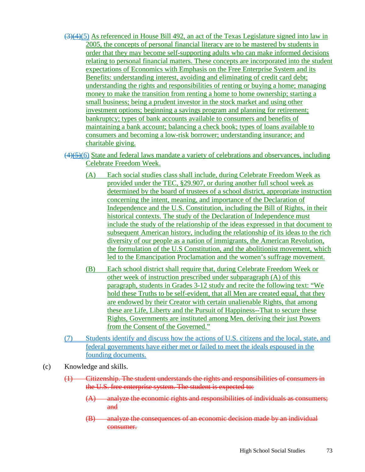- $(3)(4)(5)$  As referenced in House Bill 492, an act of the Texas Legislature signed into law in 2005, the concepts of personal financial literacy are to be mastered by students in order that they may become self-supporting adults who can make informed decisions relating to personal financial matters. These concepts are incorporated into the student expectations of Economics with Emphasis on the Free Enterprise System and its Benefits: understanding interest, avoiding and eliminating of credit card debt; understanding the rights and responsibilities of renting or buying a home; managing money to make the transition from renting a home to home ownership; starting a small business; being a prudent investor in the stock market and using other investment options; beginning a savings program and planning for retirement; bankruptcy; types of bank accounts available to consumers and benefits of maintaining a bank account; balancing a check book; types of loans available to consumers and becoming a low-risk borrower; understanding insurance; and charitable giving.
- $(4)$ (5)(6) State and federal laws mandate a variety of celebrations and observances, including Celebrate Freedom Week.
	- (A) Each social studies class shall include, during Celebrate Freedom Week as provided under the TEC, §29.907, or during another full school week as determined by the board of trustees of a school district, appropriate instruction concerning the intent, meaning, and importance of the Declaration of Independence and the U.S. Constitution, including the Bill of Rights, in their historical contexts. The study of the Declaration of Independence must include the study of the relationship of the ideas expressed in that document to subsequent American history, including the relationship of its ideas to the rich diversity of our people as a nation of immigrants, the American Revolution, the formulation of the U.S Constitution, and the abolitionist movement, which led to the Emancipation Proclamation and the women's suffrage movement.
	- (B) Each school district shall require that, during Celebrate Freedom Week or other week of instruction prescribed under subparagraph (A) of this paragraph, students in Grades 3-12 study and recite the following text: "We hold these Truths to be self-evident, that all Men are created equal, that they are endowed by their Creator with certain unalienable Rights, that among these are Life, Liberty and the Pursuit of Happiness--That to secure these Rights, Governments are instituted among Men, deriving their just Powers from the Consent of the Governed."
- (7) Students identify and discuss how the actions of U.S. citizens and the local, state, and federal governments have either met or failed to meet the ideals espoused in the founding documents.
- (c) Knowledge and skills.
	- (1) Citizenship. The student understands the rights and responsibilities of consumers in the U.S. free enterprise system. The student is expected to:
		- (A) analyze the economic rights and responsibilities of individuals as consumers; and
		- (B) analyze the consequences of an economic decision made by an individual consumer.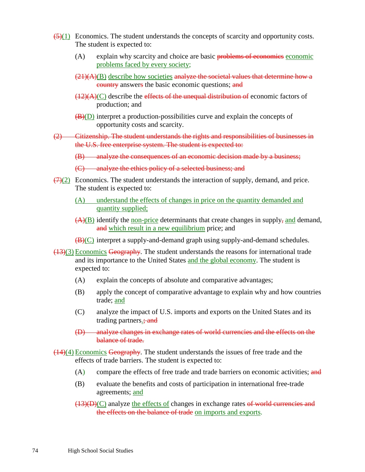- $(5)(1)$  Economics. The student understands the concepts of scarcity and opportunity costs. The student is expected to:
	- (A) explain why scarcity and choice are basic problems of economics economic problems faced by every society;
	- $(21)(A)(B)$  describe how societies analyze the societal values that determine how a country answers the basic economic questions; and
	- $(12)(A)(C)$  describe the effects of the unequal distribution of economic factors of production; and
	- $\overline{(B)(D)}$  interpret a production-possibilities curve and explain the concepts of opportunity costs and scarcity.
- (2) Citizenship. The student understands the rights and responsibilities of businesses in the U.S. free enterprise system. The student is expected to:
	- (B) analyze the consequences of an economic decision made by a business;
	- (C) analyze the ethics policy of a selected business; and
- $\left(\frac{7}{2}\right)$  Economics. The student understands the interaction of supply, demand, and price. The student is expected to:
	- (A) understand the effects of changes in price on the quantity demanded and quantity supplied;
	- $(A)(B)$  identify the non-price determinants that create changes in supply, and demand, and which result in a new equilibrium price; and
	- (B)(C) interpret a supply-and-demand graph using supply-and-demand schedules.
- (13)(3) Economics Geography. The student understands the reasons for international trade and its importance to the United States and the global economy. The student is expected to:
	- (A) explain the concepts of absolute and comparative advantages;
	- (B) apply the concept of comparative advantage to explain why and how countries trade; and
	- (C) analyze the impact of U.S. imports and exports on the United States and its trading partners.; and
	- (D) analyze changes in exchange rates of world currencies and the effects on the balance of trade.
- (14)(4) Economics Geography. The student understands the issues of free trade and the effects of trade barriers. The student is expected to:
	- (A) compare the effects of free trade and trade barriers on economic activities; and
	- (B) evaluate the benefits and costs of participation in international free-trade agreements; and
	- $(13)(D)(C)$  analyze the effects of changes in exchange rates of world currencies and the effects on the balance of trade on imports and exports.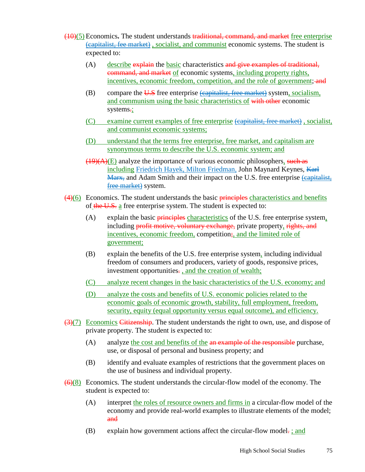- (10)(5) Economics**.** The student understands traditional, command, and market free enterprise (capitalist, fee market) , socialist, and communist economic systems. The student is expected to:
	- $(A)$  describe explain the basic characteristics and give examples of traditional, command, and market of economic systems, including property rights, incentives, economic freedom, competition, and the role of government; and
	- (B) compare the  $\overline{U.S}$  free enterprise (capitalist, free market) system, socialism, and communism using the basic characteristics of with other economic systems.;
	- (C) examine current examples of free enterprise (capitalist, free market), socialist, and communist economic systems;
	- (D) understand that the terms free enterprise , free market, and capitalism are synonymous terms to describe the U.S. economic system; and
	- $(19)(A)(E)$  analyze the importance of various economic philosophers, such as including Friedrich Hayek, Milton Friedman, John Maynard Keynes, Karl Marx, and Adam Smith and their impact on the U.S. free enterprise (capitalist, free market) system.
- $(4)(6)$  Economics. The student understands the basic *principles* characteristics and benefits of the U.S. a free enterprise system. The student is expected to:
	- (A) explain the basic *principles characteristics* of the U.S. free enterprise system, including profit motive, voluntary exchange, private property, rights, and incentives, economic freedom, competition;, and the limited role of government;
	- (B) explain the benefits of the U.S. free enterprise system, including individual freedom of consumers and producers, variety of goods, responsive prices, investment opportunities..., and the creation of wealth;
	- (C) analyze recent changes in the basic characteristics of the U.S. economy; and
	- (D) analyze the costs and benefits of U.S. economic policies related to the economic goals of economic growth, stability, full employment, freedom, security, equity (equal opportunity versus equal outcome), and efficiency.
- (3)(7) Economics Citizenship. The student understands the right to own, use, and dispose of private property. The student is expected to:
	- (A) analyze the cost and benefits of the an example of the responsible purchase, use, or disposal of personal and business property; and
	- (B) identify and evaluate examples of restrictions that the government places on the use of business and individual property.
- $\left(\frac{6}{6}\right)$  Economics. The student understands the circular-flow model of the economy. The student is expected to:
	- (A) interpret the roles of resource owners and firms in a circular-flow model of the economy and provide real-world examples to illustrate elements of the model; and
	- (B) explain how government actions affect the circular-flow model. ; and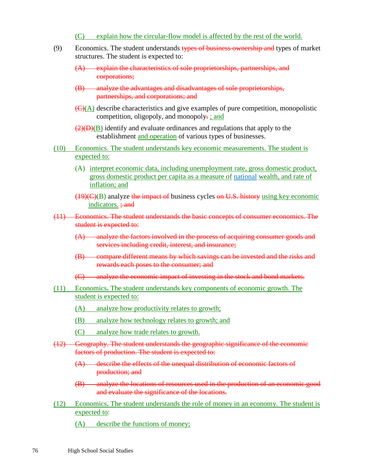- (C) explain how the circular-flow model is affected by the rest of the world.
- (9) Economics. The student understands types of business ownership and types of market structures. The student is expected to:
	- (A) explain the characteristics of sole proprietorships, partnerships, and corporations;
	- (B) analyze the advantages and disadvantages of sole proprietorships, partnerships, and corporations; and
	- $\left(\frac{C}{A}\right)$  describe characteristics and give examples of pure competition, monopolistic competition, oligopoly, and monopoly. ; and
	- $(2)(D)(B)$  identify and evaluate ordinances and regulations that apply to the establishment and operation of various types of businesses.
- (10) Economics. The student understands key economic measurements. The student is expected to:
	- (A) interpret economic data, including unemployment rate, gross domestic product, gross domestic product per capita as a measure of national wealth, and rate of inflation; and
	- $(19)(C)(B)$  analyze the impact of business cycles on U.S. history using key economic indicators.  $\div$  and
- (11) Economics. The student understands the basic concepts of consumer economics. The student is expected to:
	- (A) analyze the factors involved in the process of acquiring consumer goods and services including credit, interest, and insurance;
	- (B) compare different means by which savings can be invested and the risks and rewards each poses to the consumer; and
	- (C) analyze the economic impact of investing in the stock and bond markets.
- (11) Economics**.** The student understands key components of economic growth. The student is expected to:
	- (A) analyze how productivity relates to growth;
	- (B) analyze how technology relates to growth; and
	- (C) analyze how trade relates to growth.
- (12) Geography. The student understands the geographic significance of the economic factors of production. The student is expected to:
	- (A) describe the effects of the unequal distribution of economic factors of production; and
	- (B) analyze the locations of resources used in the production of an economic good and evaluate the significance of the locations.
- (12) Economics**.** The student understands the role of money in an economy. The student is expected to:
	- (A) describe the functions of money;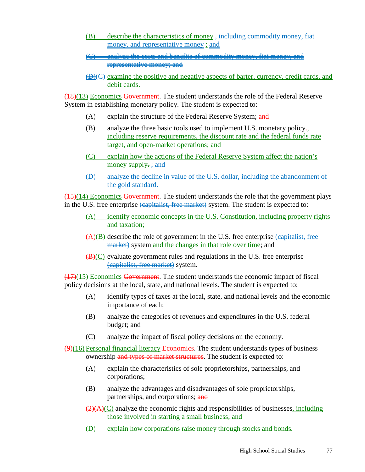- (B) describe the characteristics of money , including commodity money, fiat money, and representative money ; and
- (C) analyze the costs and benefits of commodity money, fiat money, and representative money; and
- $\bigoplus$  (C) examine the positive and negative aspects of barter, currency, credit cards, and debit cards.

(18)(13) Economics Government. The student understands the role of the Federal Reserve System in establishing monetary policy. The student is expected to:

- (A) explain the structure of the Federal Reserve System; and
- (B) analyze the three basic tools used to implement U.S. monetary policy., including reserve requirements, the discount rate and the federal funds rate target, and open-market operations; and
- (C) explain how the actions of the Federal Reserve System affect the nation's money supply. ; and
- (D) analyze the decline in value of the U.S. dollar, including the abandonment of the gold standard.

(15)(14) Economics Government. The student understands the role that the government plays in the U.S. free enterprise (capitalist, free market) system. The student is expected to:

- (A) identify economic concepts in the U.S. Constitution, including property rights and taxation;
- $(A)(B)$  describe the role of government in the U.S. free enterprise  $\{$ capitalist, free market) system and the changes in that role over time; and
- $(B)(C)$  evaluate government rules and regulations in the U.S. free enterprise (capitalist, free market) system.

(17)(15) Economics Government. The student understands the economic impact of fiscal policy decisions at the local, state, and national levels. The student is expected to:

- (A) identify types of taxes at the local, state, and national levels and the economic importance of each;
- (B) analyze the categories of revenues and expenditures in the U.S. federal budget; and
- (C) analyze the impact of fiscal policy decisions on the economy.

 $(9)(16)$  Personal financial literacy Economics. The student understands types of business ownership and types of market structures. The student is expected to:

- (A) explain the characteristics of sole proprietorships, partnerships, and corporations;
- (B) analyze the advantages and disadvantages of sole proprietorships, partnerships, and corporations; and
- $\left(\frac{2}{A}\right)(C)$  analyze the economic rights and responsibilities of businesses, including those involved in starting a small business; and
- (D) explain how corporations raise money through stocks and bonds.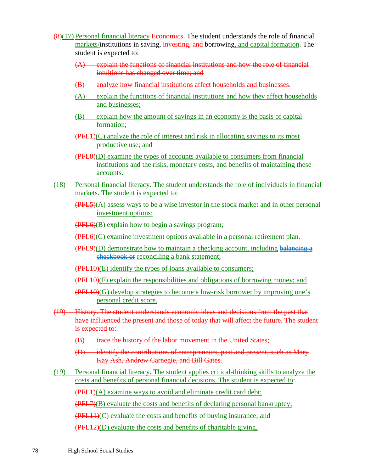- (8)(17) Personal financial literacy Economics. The student understands the role of financial markets/institutions in saving, investing, and borrowing, and capital formation. The student is expected to:
	- (A) explain the functions of financial institutions and how the role of financial intuitions has changed over time; and
	- (B) analyze how financial institutions affect households and businesses.
	- (A) explain the functions of financial institutions and how they affect households and businesses;
	- (B) explain how the amount of savings in an economy is the basis of capital formation;
	- $(PEL1)(C)$  analyze the role of interest and risk in allocating savings to its most productive use; and
	- (PFL8)(D) examine the types of accounts available to consumers from financial institutions and the risks, monetary costs, and benefits of maintaining these accounts.
- (18) Personal financial literacy**.** The student understands the role of individuals in financial markets. The student is expected to:
	- (PFL5)(A) assess ways to be a wise investor in the stock market and in other personal investment options;
	- (PFL6)(B) explain how to begin a savings program;
	- (PFL6)(C) examine investment options available in a personal retirement plan.
	- $(PEL9)(D)$  demonstrate how to maintain a checking account, including balancing a checkbook or reconciling a bank statement;
	- (PFL10)(E) identify the types of loans available to consumers;
	- $(PEL10)(F)$  explain the responsibilities and obligations of borrowing money; and
	- (PFL10)(G) develop strategies to become a low-risk borrower by improving one's personal credit score.
- (19) History. The student understands economic ideas and decisions from the past that have influenced the present and those of today that will affect the future. The student is expected to:
	- (B) trace the history of the labor movement in the United States:
	- (D) identify the contributions of entrepreneurs, past and present, such as Mary Kay Ash, Andrew Carnegie, and Bill Gates.
- (19) Personal financial literacy**.** The student applies critical-thinking skills to analyze the costs and benefits of personal financial decisions. The student is expected to: (PFL1)(A) examine ways to avoid and eliminate credit card debt; (PFL7)(B) evaluate the costs and benefits of declaring personal bankruptcy; (PFL11)(C) evaluate the costs and benefits of buying insurance; and (PFL12)(D) evaluate the costs and benefits of charitable giving.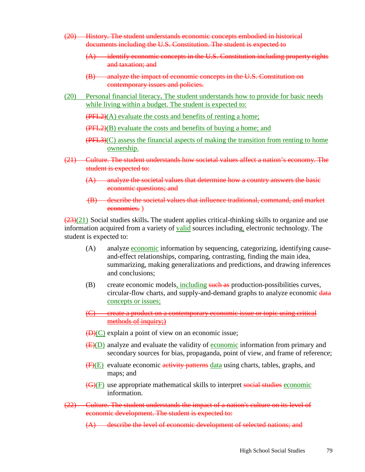- (20) History. The student understands economic concepts embodied in historical documents including the U.S. Constitution. The student is expected to
	- (A) identify economic concepts in the U.S. Constitution including property rights and taxation; and
	- (B) analyze the impact of economic concepts in the U.S. Constitution on contemporary issues and policies.
- (20) Personal financial literacy**.** The student understands how to provide for basic needs while living within a budget. The student is expected to:
	- $(FFL2)(A)$  evaluate the costs and benefits of renting a home;
	- (PFL2)(B) evaluate the costs and benefits of buying a home; and
	- (PFL3)(C) assess the financial aspects of making the transition from renting to home ownership.
- (21) Culture. The student understands how societal values affect a nation's economy. The student is expected to:
	- (A) analyze the societal values that determine how a country answers the basic economic questions; and
	- (B) describe the societal values that influence traditional, command, and market economies. )

(23)(21) Social studies skills**.** The student applies critical-thinking skills to organize and use information acquired from a variety of valid sources including, electronic technology. The student is expected to:

- (A) analyze economic information by sequencing, categorizing, identifying causeand-effect relationships, comparing, contrasting, finding the main idea, summarizing, making generalizations and predictions, and drawing inferences and conclusions;
- (B) create economic models, including such as production-possibilities curves, circular-flow charts, and supply-and-demand graphs to analyze economic data concepts or issues;
- (C) create a product on a contemporary economic issue or topic using critical methods of inquiry;)
- $(D)(C)$  explain a point of view on an economic issue;
- (E)(D) analyze and evaluate the validity of economic information from primary and secondary sources for bias, propaganda, point of view, and frame of reference;
- $(F)(E)$  evaluate economic activity patterns data using charts, tables, graphs, and maps; and
- (G)(F) use appropriate mathematical skills to interpret social studies economic information.
- (22) Culture. The student understands the impact of a nation's culture on its level of economic development. The student is expected to:
	- (A) describe the level of economic development of selected nations; and